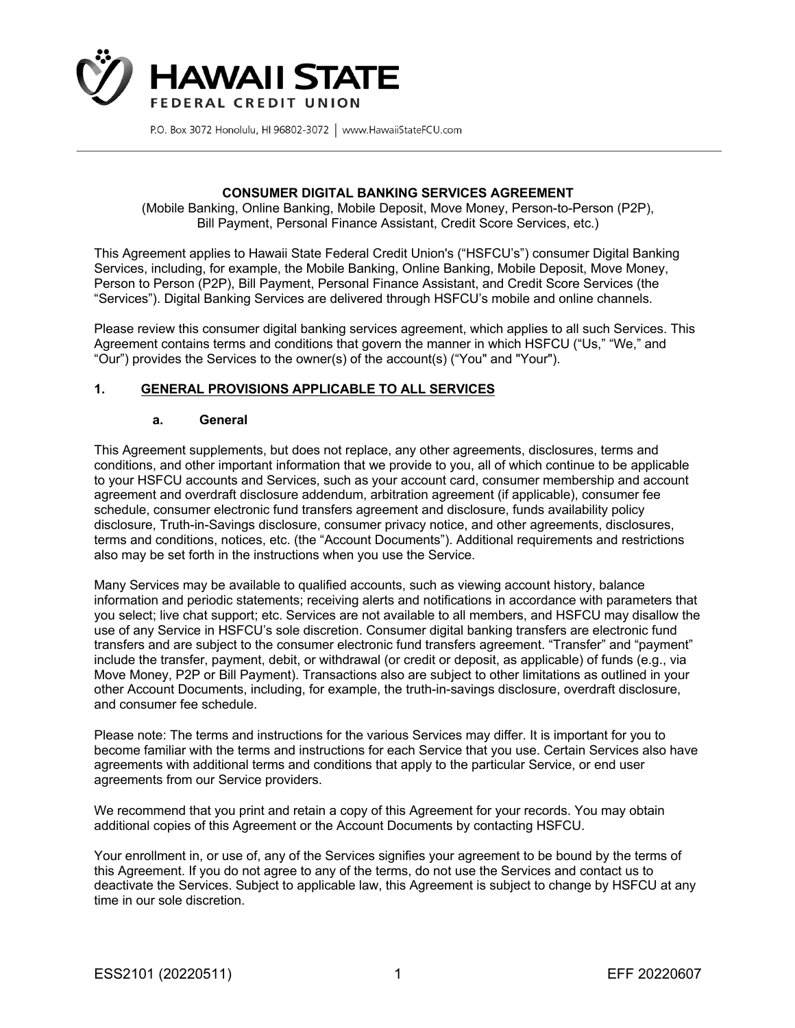

#### **CONSUMER DIGITAL BANKING SERVICES AGREEMENT**

(Mobile Banking, Online Banking, Mobile Deposit, Move Money, Person-to-Person (P2P), Bill Payment, Personal Finance Assistant, Credit Score Services, etc.)

This Agreement applies to Hawaii State Federal Credit Union's ("HSFCU's") consumer Digital Banking Services, including, for example, the Mobile Banking, Online Banking, Mobile Deposit, Move Money, Person to Person (P2P), Bill Payment, Personal Finance Assistant, and Credit Score Services (the "Services"). Digital Banking Services are delivered through HSFCU's mobile and online channels.

Please review this consumer digital banking services agreement, which applies to all such Services. This Agreement contains terms and conditions that govern the manner in which HSFCU ("Us," "We," and "Our") provides the Services to the owner(s) of the account(s) ("You" and "Your").

#### **1. GENERAL PROVISIONS APPLICABLE TO ALL SERVICES**

#### **a. General**

This Agreement supplements, but does not replace, any other agreements, disclosures, terms and conditions, and other important information that we provide to you, all of which continue to be applicable to your HSFCU accounts and Services, such as your account card, consumer membership and account agreement and overdraft disclosure addendum, arbitration agreement (if applicable), consumer fee schedule, consumer electronic fund transfers agreement and disclosure, funds availability policy disclosure, Truth-in-Savings disclosure, consumer privacy notice, and other agreements, disclosures, terms and conditions, notices, etc. (the "Account Documents"). Additional requirements and restrictions also may be set forth in the instructions when you use the Service.

Many Services may be available to qualified accounts, such as viewing account history, balance information and periodic statements; receiving alerts and notifications in accordance with parameters that you select; live chat support; etc. Services are not available to all members, and HSFCU may disallow the use of any Service in HSFCU's sole discretion. Consumer digital banking transfers are electronic fund transfers and are subject to the consumer electronic fund transfers agreement. "Transfer" and "payment" include the transfer, payment, debit, or withdrawal (or credit or deposit, as applicable) of funds (e.g., via Move Money, P2P or Bill Payment). Transactions also are subject to other limitations as outlined in your other Account Documents, including, for example, the truth-in-savings disclosure, overdraft disclosure, and consumer fee schedule.

Please note: The terms and instructions for the various Services may differ. It is important for you to become familiar with the terms and instructions for each Service that you use. Certain Services also have agreements with additional terms and conditions that apply to the particular Service, or end user agreements from our Service providers.

We recommend that you print and retain a copy of this Agreement for your records. You may obtain additional copies of this Agreement or the Account Documents by contacting HSFCU.

Your enrollment in, or use of, any of the Services signifies your agreement to be bound by the terms of this Agreement. If you do not agree to any of the terms, do not use the Services and contact us to deactivate the Services. Subject to applicable law, this Agreement is subject to change by HSFCU at any time in our sole discretion.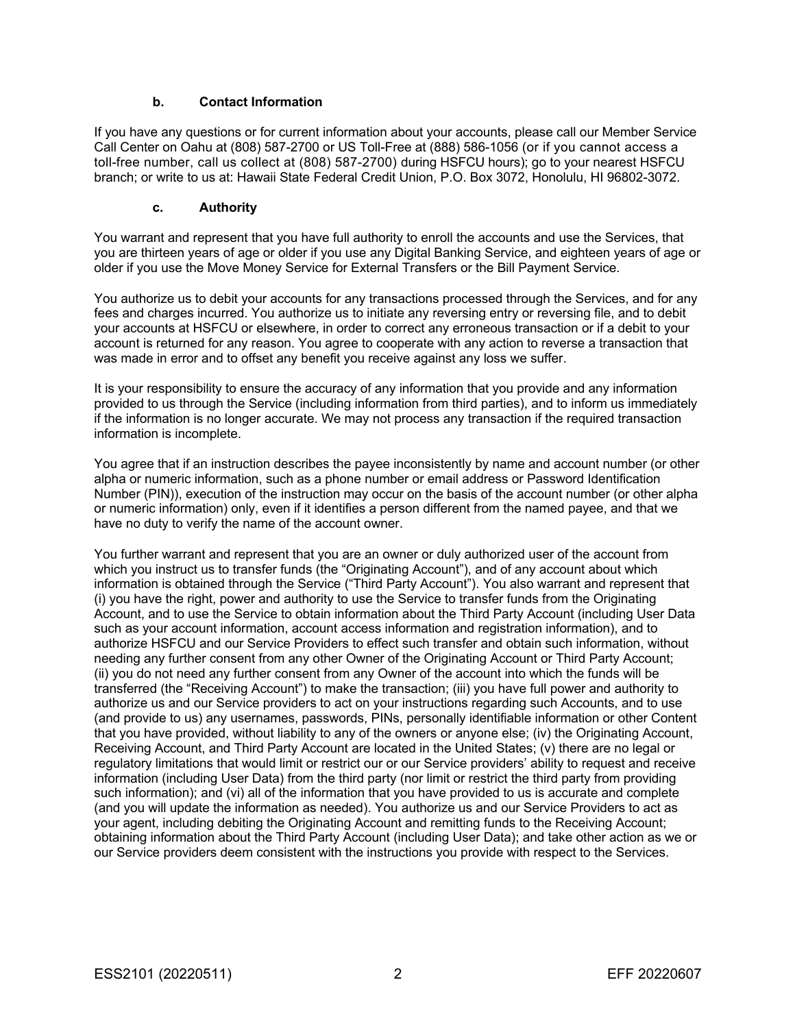#### **b. Contact Information**

If you have any questions or for current information about your accounts, please call our Member Service Call Center on Oahu at (808) 587-2700 or US Toll-Free at (888) 586-1056 (or if you cannot access a toll-free number, call us collect at (808) 587-2700) during HSFCU hours); go to your nearest HSFCU branch; or write to us at: Hawaii State Federal Credit Union, P.O. Box 3072, Honolulu, HI 96802-3072.

#### **c. Authority**

You warrant and represent that you have full authority to enroll the accounts and use the Services, that you are thirteen years of age or older if you use any Digital Banking Service, and eighteen years of age or older if you use the Move Money Service for External Transfers or the Bill Payment Service.

You authorize us to debit your accounts for any transactions processed through the Services, and for any fees and charges incurred. You authorize us to initiate any reversing entry or reversing file, and to debit your accounts at HSFCU or elsewhere, in order to correct any erroneous transaction or if a debit to your account is returned for any reason. You agree to cooperate with any action to reverse a transaction that was made in error and to offset any benefit you receive against any loss we suffer.

It is your responsibility to ensure the accuracy of any information that you provide and any information provided to us through the Service (including information from third parties), and to inform us immediately if the information is no longer accurate. We may not process any transaction if the required transaction information is incomplete.

You agree that if an instruction describes the payee inconsistently by name and account number (or other alpha or numeric information, such as a phone number or email address or Password Identification Number (PIN)), execution of the instruction may occur on the basis of the account number (or other alpha or numeric information) only, even if it identifies a person different from the named payee, and that we have no duty to verify the name of the account owner.

You further warrant and represent that you are an owner or duly authorized user of the account from which you instruct us to transfer funds (the "Originating Account"), and of any account about which information is obtained through the Service ("Third Party Account"). You also warrant and represent that (i) you have the right, power and authority to use the Service to transfer funds from the Originating Account, and to use the Service to obtain information about the Third Party Account (including User Data such as your account information, account access information and registration information), and to authorize HSFCU and our Service Providers to effect such transfer and obtain such information, without needing any further consent from any other Owner of the Originating Account or Third Party Account; (ii) you do not need any further consent from any Owner of the account into which the funds will be transferred (the "Receiving Account") to make the transaction; (iii) you have full power and authority to authorize us and our Service providers to act on your instructions regarding such Accounts, and to use (and provide to us) any usernames, passwords, PINs, personally identifiable information or other Content that you have provided, without liability to any of the owners or anyone else; (iv) the Originating Account, Receiving Account, and Third Party Account are located in the United States; (v) there are no legal or regulatory limitations that would limit or restrict our or our Service providers' ability to request and receive information (including User Data) from the third party (nor limit or restrict the third party from providing such information); and (vi) all of the information that you have provided to us is accurate and complete (and you will update the information as needed). You authorize us and our Service Providers to act as your agent, including debiting the Originating Account and remitting funds to the Receiving Account; obtaining information about the Third Party Account (including User Data); and take other action as we or our Service providers deem consistent with the instructions you provide with respect to the Services.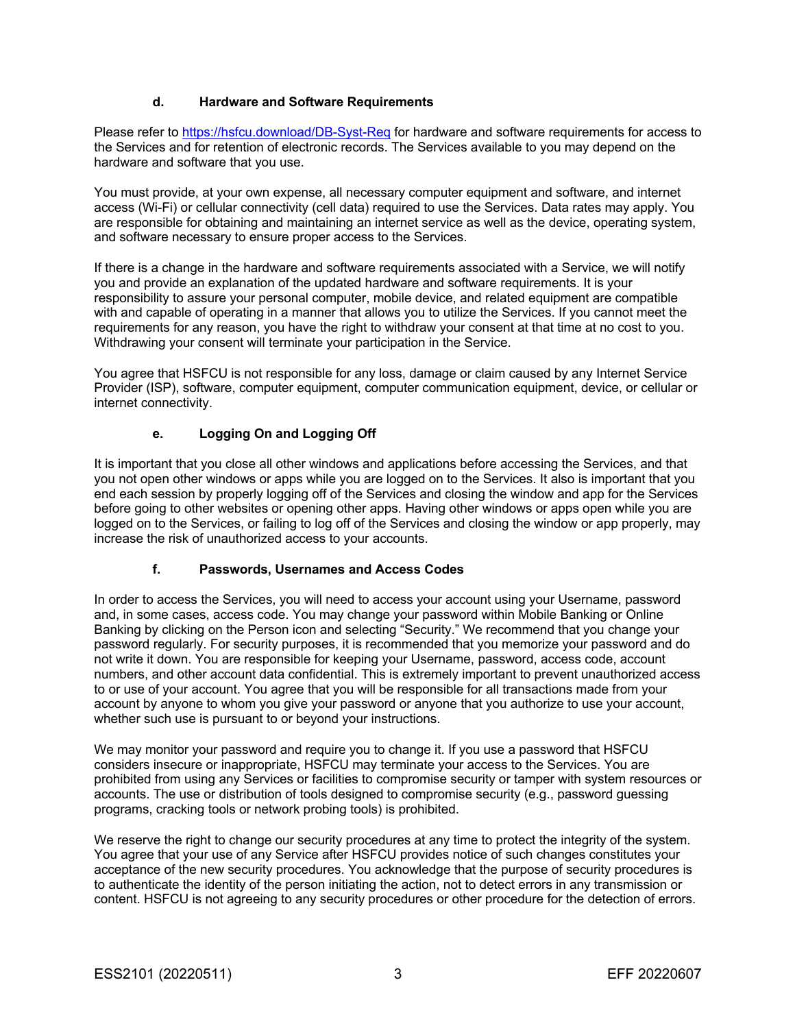### **d. Hardware and Software Requirements**

Please refer to https://hsfcu.download/DB-Syst-Req for hardware and software requirements for access to the Services and for retention of electronic records. The Services available to you may depend on the hardware and software that you use.

You must provide, at your own expense, all necessary computer equipment and software, and internet access (Wi-Fi) or cellular connectivity (cell data) required to use the Services. Data rates may apply. You are responsible for obtaining and maintaining an internet service as well as the device, operating system, and software necessary to ensure proper access to the Services.

If there is a change in the hardware and software requirements associated with a Service, we will notify you and provide an explanation of the updated hardware and software requirements. It is your responsibility to assure your personal computer, mobile device, and related equipment are compatible with and capable of operating in a manner that allows you to utilize the Services. If you cannot meet the requirements for any reason, you have the right to withdraw your consent at that time at no cost to you. Withdrawing your consent will terminate your participation in the Service.

You agree that HSFCU is not responsible for any loss, damage or claim caused by any Internet Service Provider (ISP), software, computer equipment, computer communication equipment, device, or cellular or internet connectivity.

### **e. Logging On and Logging Off**

It is important that you close all other windows and applications before accessing the Services, and that you not open other windows or apps while you are logged on to the Services. It also is important that you end each session by properly logging off of the Services and closing the window and app for the Services before going to other websites or opening other apps. Having other windows or apps open while you are logged on to the Services, or failing to log off of the Services and closing the window or app properly, may increase the risk of unauthorized access to your accounts.

#### **f. Passwords, Usernames and Access Codes**

In order to access the Services, you will need to access your account using your Username, password and, in some cases, access code. You may change your password within Mobile Banking or Online Banking by clicking on the Person icon and selecting "Security." We recommend that you change your password regularly. For security purposes, it is recommended that you memorize your password and do not write it down. You are responsible for keeping your Username, password, access code, account numbers, and other account data confidential. This is extremely important to prevent unauthorized access to or use of your account. You agree that you will be responsible for all transactions made from your account by anyone to whom you give your password or anyone that you authorize to use your account, whether such use is pursuant to or beyond your instructions.

We may monitor your password and require you to change it. If you use a password that HSFCU considers insecure or inappropriate, HSFCU may terminate your access to the Services. You are prohibited from using any Services or facilities to compromise security or tamper with system resources or accounts. The use or distribution of tools designed to compromise security (e.g., password guessing programs, cracking tools or network probing tools) is prohibited.

We reserve the right to change our security procedures at any time to protect the integrity of the system. You agree that your use of any Service after HSFCU provides notice of such changes constitutes your acceptance of the new security procedures. You acknowledge that the purpose of security procedures is to authenticate the identity of the person initiating the action, not to detect errors in any transmission or content. HSFCU is not agreeing to any security procedures or other procedure for the detection of errors.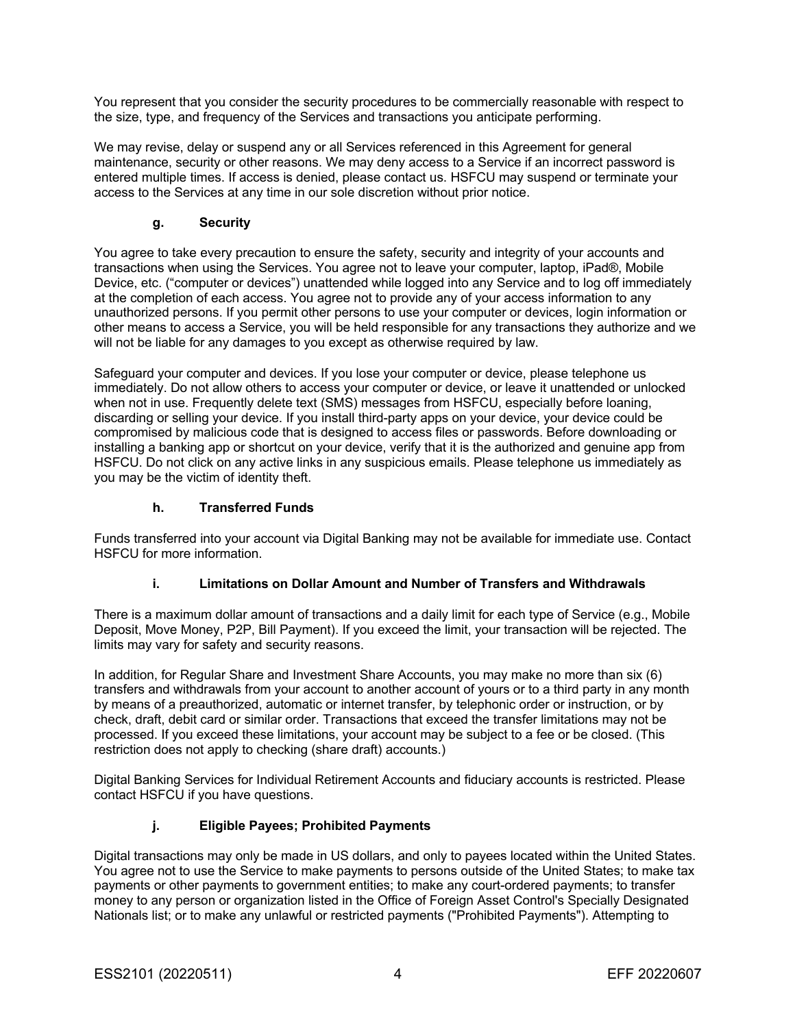You represent that you consider the security procedures to be commercially reasonable with respect to the size, type, and frequency of the Services and transactions you anticipate performing.

We may revise, delay or suspend any or all Services referenced in this Agreement for general maintenance, security or other reasons. We may deny access to a Service if an incorrect password is entered multiple times. If access is denied, please contact us. HSFCU may suspend or terminate your access to the Services at any time in our sole discretion without prior notice.

### **g. Security**

You agree to take every precaution to ensure the safety, security and integrity of your accounts and transactions when using the Services. You agree not to leave your computer, laptop, iPad®, Mobile Device, etc. ("computer or devices") unattended while logged into any Service and to log off immediately at the completion of each access. You agree not to provide any of your access information to any unauthorized persons. If you permit other persons to use your computer or devices, login information or other means to access a Service, you will be held responsible for any transactions they authorize and we will not be liable for any damages to you except as otherwise required by law.

Safeguard your computer and devices. If you lose your computer or device, please telephone us immediately. Do not allow others to access your computer or device, or leave it unattended or unlocked when not in use. Frequently delete text (SMS) messages from HSFCU, especially before loaning, discarding or selling your device. If you install third-party apps on your device, your device could be compromised by malicious code that is designed to access files or passwords. Before downloading or installing a banking app or shortcut on your device, verify that it is the authorized and genuine app from HSFCU. Do not click on any active links in any suspicious emails. Please telephone us immediately as you may be the victim of identity theft.

### **h. Transferred Funds**

Funds transferred into your account via Digital Banking may not be available for immediate use. Contact HSFCU for more information.

#### **i. Limitations on Dollar Amount and Number of Transfers and Withdrawals**

There is a maximum dollar amount of transactions and a daily limit for each type of Service (e.g., Mobile Deposit, Move Money, P2P, Bill Payment). If you exceed the limit, your transaction will be rejected. The limits may vary for safety and security reasons.

In addition, for Regular Share and Investment Share Accounts, you may make no more than six (6) transfers and withdrawals from your account to another account of yours or to a third party in any month by means of a preauthorized, automatic or internet transfer, by telephonic order or instruction, or by check, draft, debit card or similar order. Transactions that exceed the transfer limitations may not be processed. If you exceed these limitations, your account may be subject to a fee or be closed. (This restriction does not apply to checking (share draft) accounts.)

Digital Banking Services for Individual Retirement Accounts and fiduciary accounts is restricted. Please contact HSFCU if you have questions.

## **j. Eligible Payees; Prohibited Payments**

Digital transactions may only be made in US dollars, and only to payees located within the United States. You agree not to use the Service to make payments to persons outside of the United States; to make tax payments or other payments to government entities; to make any court-ordered payments; to transfer money to any person or organization listed in the Office of Foreign Asset Control's Specially Designated Nationals list; or to make any unlawful or restricted payments ("Prohibited Payments"). Attempting to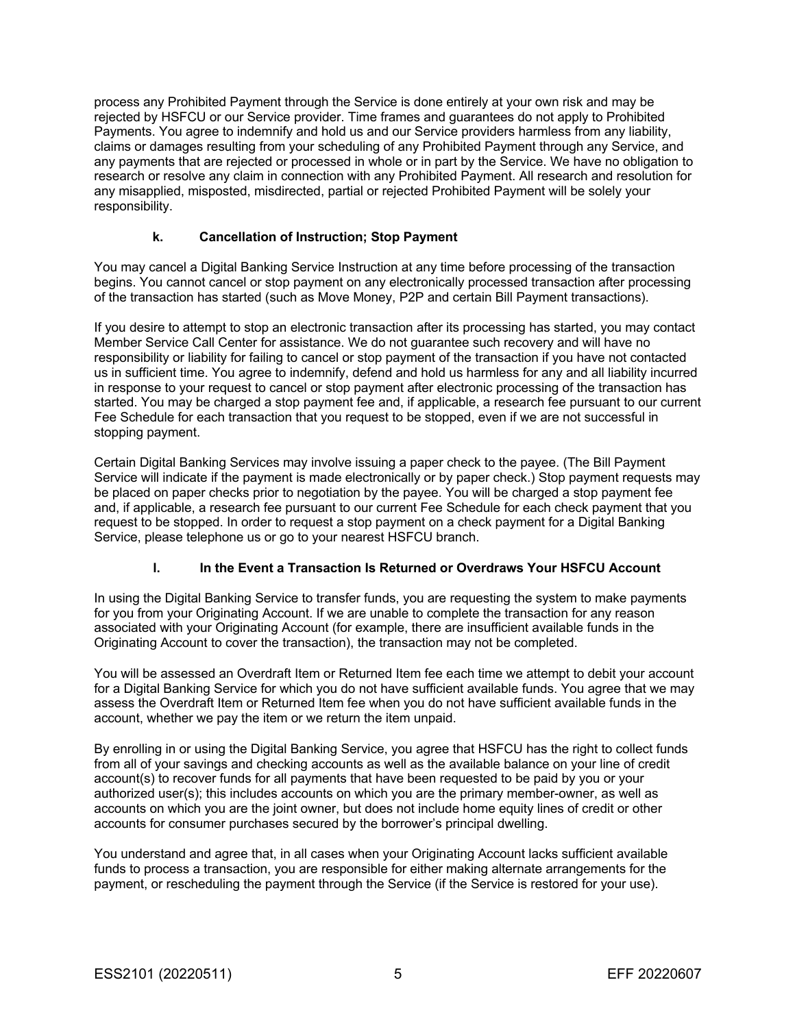process any Prohibited Payment through the Service is done entirely at your own risk and may be rejected by HSFCU or our Service provider. Time frames and guarantees do not apply to Prohibited Payments. You agree to indemnify and hold us and our Service providers harmless from any liability, claims or damages resulting from your scheduling of any Prohibited Payment through any Service, and any payments that are rejected or processed in whole or in part by the Service. We have no obligation to research or resolve any claim in connection with any Prohibited Payment. All research and resolution for any misapplied, misposted, misdirected, partial or rejected Prohibited Payment will be solely your responsibility.

### **k. Cancellation of Instruction; Stop Payment**

You may cancel a Digital Banking Service Instruction at any time before processing of the transaction begins. You cannot cancel or stop payment on any electronically processed transaction after processing of the transaction has started (such as Move Money, P2P and certain Bill Payment transactions).

If you desire to attempt to stop an electronic transaction after its processing has started, you may contact Member Service Call Center for assistance. We do not guarantee such recovery and will have no responsibility or liability for failing to cancel or stop payment of the transaction if you have not contacted us in sufficient time. You agree to indemnify, defend and hold us harmless for any and all liability incurred in response to your request to cancel or stop payment after electronic processing of the transaction has started. You may be charged a stop payment fee and, if applicable, a research fee pursuant to our current Fee Schedule for each transaction that you request to be stopped, even if we are not successful in stopping payment.

Certain Digital Banking Services may involve issuing a paper check to the payee. (The Bill Payment Service will indicate if the payment is made electronically or by paper check.) Stop payment requests may be placed on paper checks prior to negotiation by the payee. You will be charged a stop payment fee and, if applicable, a research fee pursuant to our current Fee Schedule for each check payment that you request to be stopped. In order to request a stop payment on a check payment for a Digital Banking Service, please telephone us or go to your nearest HSFCU branch.

## **l. In the Event a Transaction Is Returned or Overdraws Your HSFCU Account**

In using the Digital Banking Service to transfer funds, you are requesting the system to make payments for you from your Originating Account. If we are unable to complete the transaction for any reason associated with your Originating Account (for example, there are insufficient available funds in the Originating Account to cover the transaction), the transaction may not be completed.

You will be assessed an Overdraft Item or Returned Item fee each time we attempt to debit your account for a Digital Banking Service for which you do not have sufficient available funds. You agree that we may assess the Overdraft Item or Returned Item fee when you do not have sufficient available funds in the account, whether we pay the item or we return the item unpaid.

By enrolling in or using the Digital Banking Service, you agree that HSFCU has the right to collect funds from all of your savings and checking accounts as well as the available balance on your line of credit account(s) to recover funds for all payments that have been requested to be paid by you or your authorized user(s); this includes accounts on which you are the primary member-owner, as well as accounts on which you are the joint owner, but does not include home equity lines of credit or other accounts for consumer purchases secured by the borrower's principal dwelling.

You understand and agree that, in all cases when your Originating Account lacks sufficient available funds to process a transaction, you are responsible for either making alternate arrangements for the payment, or rescheduling the payment through the Service (if the Service is restored for your use).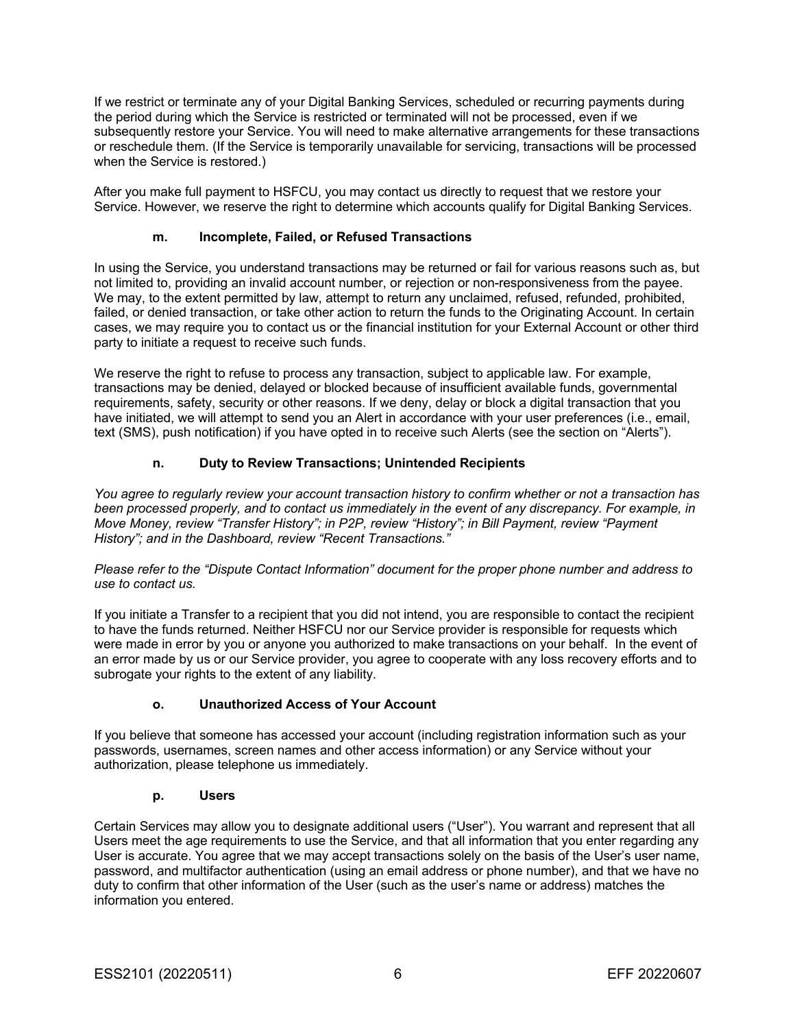If we restrict or terminate any of your Digital Banking Services, scheduled or recurring payments during the period during which the Service is restricted or terminated will not be processed, even if we subsequently restore your Service. You will need to make alternative arrangements for these transactions or reschedule them. (If the Service is temporarily unavailable for servicing, transactions will be processed when the Service is restored.)

After you make full payment to HSFCU, you may contact us directly to request that we restore your Service. However, we reserve the right to determine which accounts qualify for Digital Banking Services.

#### **m. Incomplete, Failed, or Refused Transactions**

In using the Service, you understand transactions may be returned or fail for various reasons such as, but not limited to, providing an invalid account number, or rejection or non-responsiveness from the payee. We may, to the extent permitted by law, attempt to return any unclaimed, refused, refunded, prohibited, failed, or denied transaction, or take other action to return the funds to the Originating Account. In certain cases, we may require you to contact us or the financial institution for your External Account or other third party to initiate a request to receive such funds.

We reserve the right to refuse to process any transaction, subject to applicable law. For example, transactions may be denied, delayed or blocked because of insufficient available funds, governmental requirements, safety, security or other reasons. If we deny, delay or block a digital transaction that you have initiated, we will attempt to send you an Alert in accordance with your user preferences (i.e., email, text (SMS), push notification) if you have opted in to receive such Alerts (see the section on "Alerts").

#### **n. Duty to Review Transactions; Unintended Recipients**

*You agree to regularly review your account transaction history to confirm whether or not a transaction has been processed properly, and to contact us immediately in the event of any discrepancy. For example, in Move Money, review "Transfer History"; in P2P, review "History"; in Bill Payment, review "Payment History"; and in the Dashboard, review "Recent Transactions."*

*Please refer to the "Dispute Contact Information" document for the proper phone number and address to use to contact us.*

If you initiate a Transfer to a recipient that you did not intend, you are responsible to contact the recipient to have the funds returned. Neither HSFCU nor our Service provider is responsible for requests which were made in error by you or anyone you authorized to make transactions on your behalf. In the event of an error made by us or our Service provider, you agree to cooperate with any loss recovery efforts and to subrogate your rights to the extent of any liability.

#### **o. Unauthorized Access of Your Account**

If you believe that someone has accessed your account (including registration information such as your passwords, usernames, screen names and other access information) or any Service without your authorization, please telephone us immediately.

#### **p. Users**

Certain Services may allow you to designate additional users ("User"). You warrant and represent that all Users meet the age requirements to use the Service, and that all information that you enter regarding any User is accurate. You agree that we may accept transactions solely on the basis of the User's user name, password, and multifactor authentication (using an email address or phone number), and that we have no duty to confirm that other information of the User (such as the user's name or address) matches the information you entered.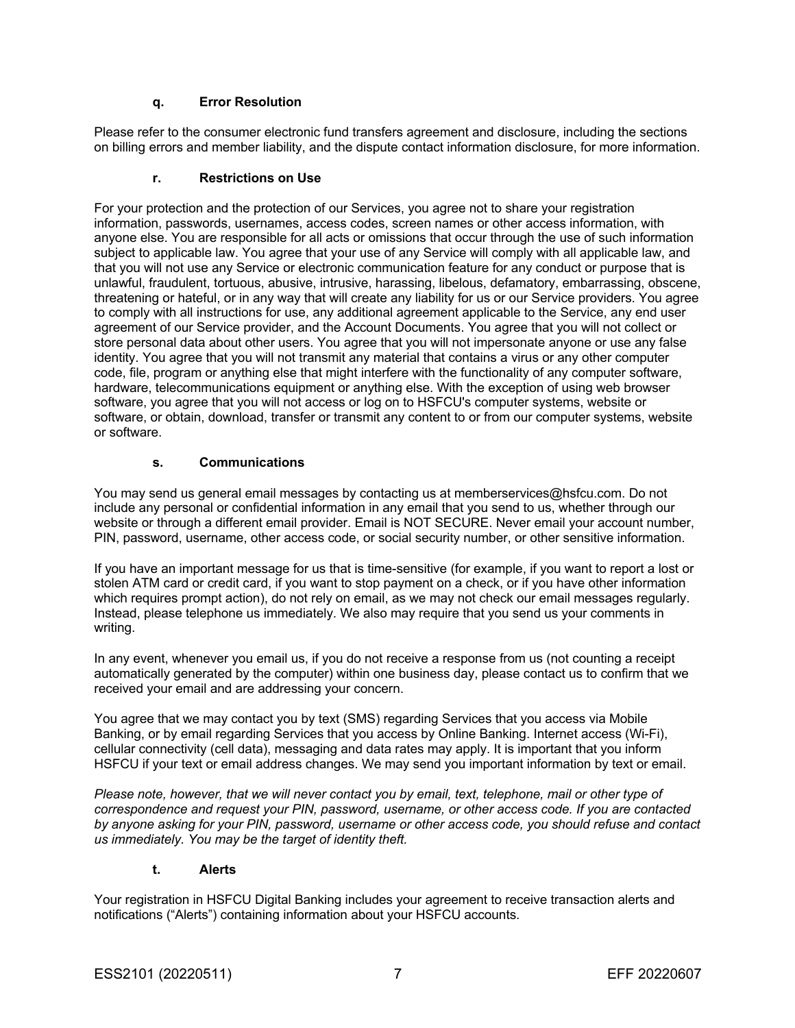### **q. Error Resolution**

Please refer to the consumer electronic fund transfers agreement and disclosure, including the sections on billing errors and member liability, and the dispute contact information disclosure, for more information.

#### **r. Restrictions on Use**

For your protection and the protection of our Services, you agree not to share your registration information, passwords, usernames, access codes, screen names or other access information, with anyone else. You are responsible for all acts or omissions that occur through the use of such information subject to applicable law. You agree that your use of any Service will comply with all applicable law, and that you will not use any Service or electronic communication feature for any conduct or purpose that is unlawful, fraudulent, tortuous, abusive, intrusive, harassing, libelous, defamatory, embarrassing, obscene, threatening or hateful, or in any way that will create any liability for us or our Service providers. You agree to comply with all instructions for use, any additional agreement applicable to the Service, any end user agreement of our Service provider, and the Account Documents. You agree that you will not collect or store personal data about other users. You agree that you will not impersonate anyone or use any false identity. You agree that you will not transmit any material that contains a virus or any other computer code, file, program or anything else that might interfere with the functionality of any computer software, hardware, telecommunications equipment or anything else. With the exception of using web browser software, you agree that you will not access or log on to HSFCU's computer systems, website or software, or obtain, download, transfer or transmit any content to or from our computer systems, website or software.

### **s. Communications**

You may send us general email messages by contacting us at memberservices@hsfcu.com. Do not include any personal or confidential information in any email that you send to us, whether through our website or through a different email provider. Email is NOT SECURE. Never email your account number, PIN, password, username, other access code, or social security number, or other sensitive information.

If you have an important message for us that is time-sensitive (for example, if you want to report a lost or stolen ATM card or credit card, if you want to stop payment on a check, or if you have other information which requires prompt action), do not rely on email, as we may not check our email messages regularly. Instead, please telephone us immediately. We also may require that you send us your comments in writing.

In any event, whenever you email us, if you do not receive a response from us (not counting a receipt automatically generated by the computer) within one business day, please contact us to confirm that we received your email and are addressing your concern.

You agree that we may contact you by text (SMS) regarding Services that you access via Mobile Banking, or by email regarding Services that you access by Online Banking. Internet access (Wi-Fi), cellular connectivity (cell data), messaging and data rates may apply. It is important that you inform HSFCU if your text or email address changes. We may send you important information by text or email.

*Please note, however, that we will never contact you by email, text, telephone, mail or other type of correspondence and request your PIN, password, username, or other access code. If you are contacted by anyone asking for your PIN, password, username or other access code, you should refuse and contact us immediately. You may be the target of identity theft.*

## **t. Alerts**

Your registration in HSFCU Digital Banking includes your agreement to receive transaction alerts and notifications ("Alerts") containing information about your HSFCU accounts.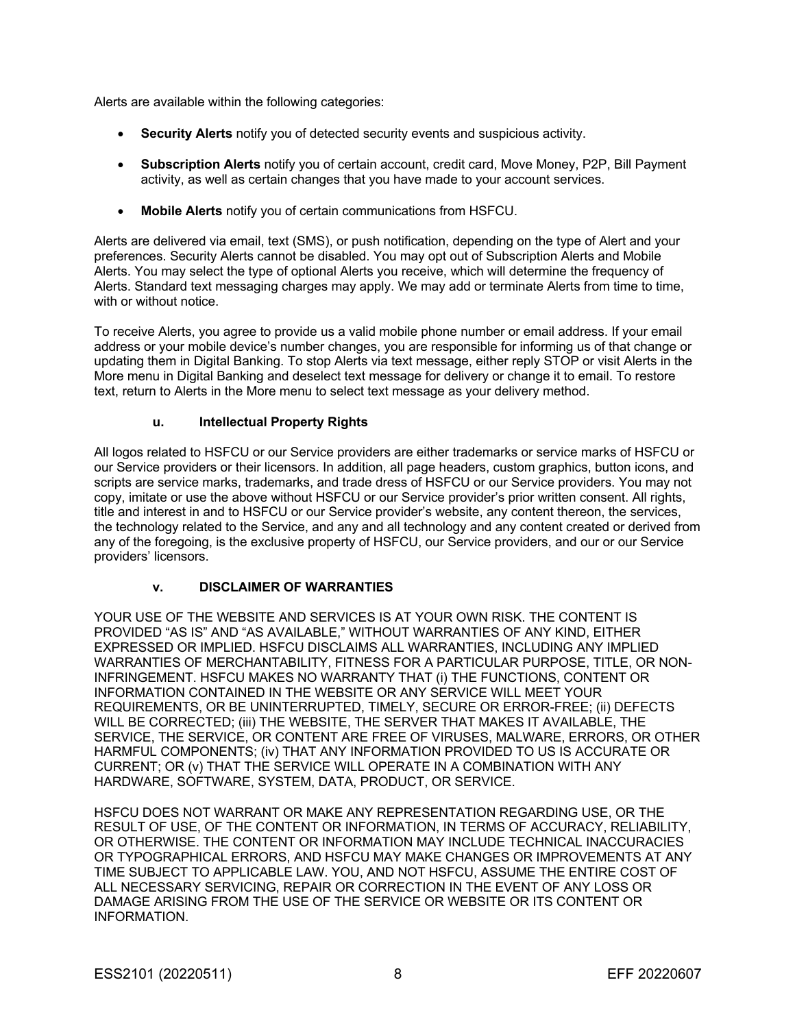Alerts are available within the following categories:

- **Security Alerts** notify you of detected security events and suspicious activity.
- **Subscription Alerts** notify you of certain account, credit card, Move Money, P2P, Bill Payment activity, as well as certain changes that you have made to your account services.
- **Mobile Alerts** notify you of certain communications from HSFCU.

Alerts are delivered via email, text (SMS), or push notification, depending on the type of Alert and your preferences. Security Alerts cannot be disabled. You may opt out of Subscription Alerts and Mobile Alerts. You may select the type of optional Alerts you receive, which will determine the frequency of Alerts. Standard text messaging charges may apply. We may add or terminate Alerts from time to time, with or without notice.

To receive Alerts, you agree to provide us a valid mobile phone number or email address. If your email address or your mobile device's number changes, you are responsible for informing us of that change or updating them in Digital Banking. To stop Alerts via text message, either reply STOP or visit Alerts in the More menu in Digital Banking and deselect text message for delivery or change it to email. To restore text, return to Alerts in the More menu to select text message as your delivery method.

### **u. Intellectual Property Rights**

All logos related to HSFCU or our Service providers are either trademarks or service marks of HSFCU or our Service providers or their licensors. In addition, all page headers, custom graphics, button icons, and scripts are service marks, trademarks, and trade dress of HSFCU or our Service providers. You may not copy, imitate or use the above without HSFCU or our Service provider's prior written consent. All rights, title and interest in and to HSFCU or our Service provider's website, any content thereon, the services, the technology related to the Service, and any and all technology and any content created or derived from any of the foregoing, is the exclusive property of HSFCU, our Service providers, and our or our Service providers' licensors.

#### **v. DISCLAIMER OF WARRANTIES**

YOUR USE OF THE WEBSITE AND SERVICES IS AT YOUR OWN RISK. THE CONTENT IS PROVIDED "AS IS" AND "AS AVAILABLE," WITHOUT WARRANTIES OF ANY KIND, EITHER EXPRESSED OR IMPLIED. HSFCU DISCLAIMS ALL WARRANTIES, INCLUDING ANY IMPLIED WARRANTIES OF MERCHANTABILITY, FITNESS FOR A PARTICULAR PURPOSE, TITLE, OR NON-INFRINGEMENT. HSFCU MAKES NO WARRANTY THAT (i) THE FUNCTIONS, CONTENT OR INFORMATION CONTAINED IN THE WEBSITE OR ANY SERVICE WILL MEET YOUR REQUIREMENTS, OR BE UNINTERRUPTED, TIMELY, SECURE OR ERROR-FREE; (ii) DEFECTS WILL BE CORRECTED; (iii) THE WEBSITE, THE SERVER THAT MAKES IT AVAILABLE, THE SERVICE, THE SERVICE, OR CONTENT ARE FREE OF VIRUSES, MALWARE, ERRORS, OR OTHER HARMFUL COMPONENTS; (iv) THAT ANY INFORMATION PROVIDED TO US IS ACCURATE OR CURRENT; OR (v) THAT THE SERVICE WILL OPERATE IN A COMBINATION WITH ANY HARDWARE, SOFTWARE, SYSTEM, DATA, PRODUCT, OR SERVICE.

HSFCU DOES NOT WARRANT OR MAKE ANY REPRESENTATION REGARDING USE, OR THE RESULT OF USE, OF THE CONTENT OR INFORMATION, IN TERMS OF ACCURACY, RELIABILITY, OR OTHERWISE. THE CONTENT OR INFORMATION MAY INCLUDE TECHNICAL INACCURACIES OR TYPOGRAPHICAL ERRORS, AND HSFCU MAY MAKE CHANGES OR IMPROVEMENTS AT ANY TIME SUBJECT TO APPLICABLE LAW. YOU, AND NOT HSFCU, ASSUME THE ENTIRE COST OF ALL NECESSARY SERVICING, REPAIR OR CORRECTION IN THE EVENT OF ANY LOSS OR DAMAGE ARISING FROM THE USE OF THE SERVICE OR WEBSITE OR ITS CONTENT OR INFORMATION.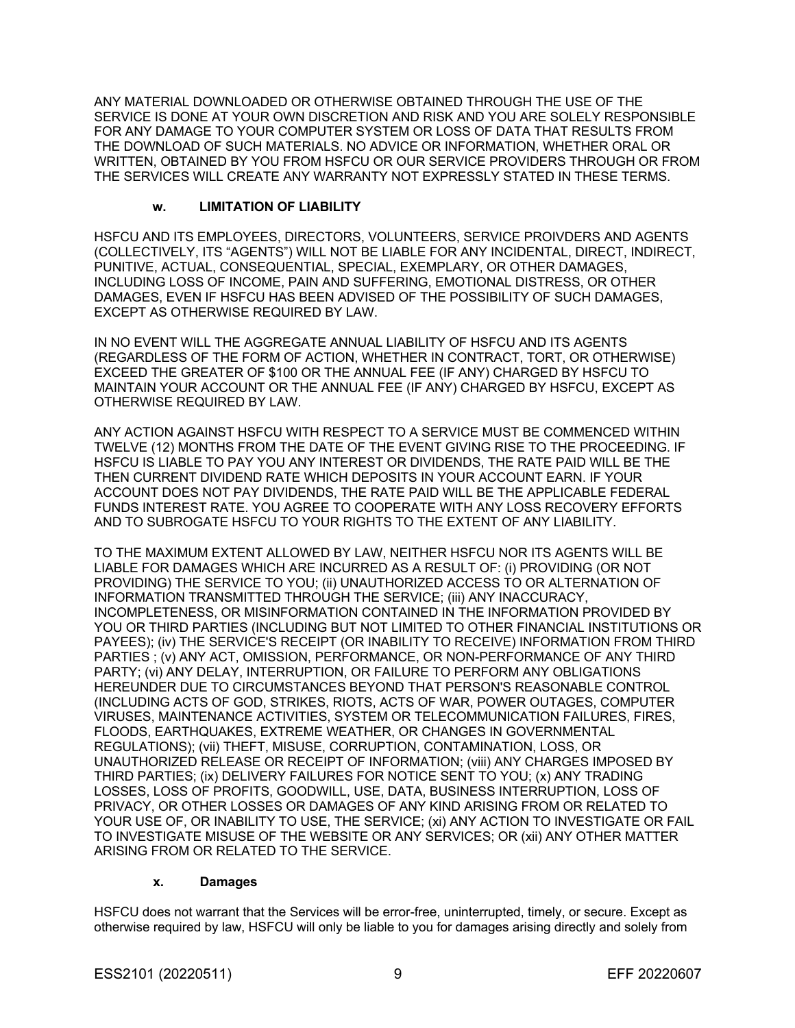ANY MATERIAL DOWNLOADED OR OTHERWISE OBTAINED THROUGH THE USE OF THE SERVICE IS DONE AT YOUR OWN DISCRETION AND RISK AND YOU ARE SOLELY RESPONSIBLE FOR ANY DAMAGE TO YOUR COMPUTER SYSTEM OR LOSS OF DATA THAT RESULTS FROM THE DOWNLOAD OF SUCH MATERIALS. NO ADVICE OR INFORMATION, WHETHER ORAL OR WRITTEN, OBTAINED BY YOU FROM HSFCU OR OUR SERVICE PROVIDERS THROUGH OR FROM THE SERVICES WILL CREATE ANY WARRANTY NOT EXPRESSLY STATED IN THESE TERMS.

### **w. LIMITATION OF LIABILITY**

HSFCU AND ITS EMPLOYEES, DIRECTORS, VOLUNTEERS, SERVICE PROIVDERS AND AGENTS (COLLECTIVELY, ITS "AGENTS") WILL NOT BE LIABLE FOR ANY INCIDENTAL, DIRECT, INDIRECT, PUNITIVE, ACTUAL, CONSEQUENTIAL, SPECIAL, EXEMPLARY, OR OTHER DAMAGES, INCLUDING LOSS OF INCOME, PAIN AND SUFFERING, EMOTIONAL DISTRESS, OR OTHER DAMAGES, EVEN IF HSFCU HAS BEEN ADVISED OF THE POSSIBILITY OF SUCH DAMAGES, EXCEPT AS OTHERWISE REQUIRED BY LAW.

IN NO EVENT WILL THE AGGREGATE ANNUAL LIABILITY OF HSFCU AND ITS AGENTS (REGARDLESS OF THE FORM OF ACTION, WHETHER IN CONTRACT, TORT, OR OTHERWISE) EXCEED THE GREATER OF \$100 OR THE ANNUAL FEE (IF ANY) CHARGED BY HSFCU TO MAINTAIN YOUR ACCOUNT OR THE ANNUAL FEE (IF ANY) CHARGED BY HSFCU, EXCEPT AS OTHERWISE REQUIRED BY LAW.

ANY ACTION AGAINST HSFCU WITH RESPECT TO A SERVICE MUST BE COMMENCED WITHIN TWELVE (12) MONTHS FROM THE DATE OF THE EVENT GIVING RISE TO THE PROCEEDING. IF HSFCU IS LIABLE TO PAY YOU ANY INTEREST OR DIVIDENDS, THE RATE PAID WILL BE THE THEN CURRENT DIVIDEND RATE WHICH DEPOSITS IN YOUR ACCOUNT EARN. IF YOUR ACCOUNT DOES NOT PAY DIVIDENDS, THE RATE PAID WILL BE THE APPLICABLE FEDERAL FUNDS INTEREST RATE. YOU AGREE TO COOPERATE WITH ANY LOSS RECOVERY EFFORTS AND TO SUBROGATE HSFCU TO YOUR RIGHTS TO THE EXTENT OF ANY LIABILITY.

TO THE MAXIMUM EXTENT ALLOWED BY LAW, NEITHER HSFCU NOR ITS AGENTS WILL BE LIABLE FOR DAMAGES WHICH ARE INCURRED AS A RESULT OF: (i) PROVIDING (OR NOT PROVIDING) THE SERVICE TO YOU; (ii) UNAUTHORIZED ACCESS TO OR ALTERNATION OF INFORMATION TRANSMITTED THROUGH THE SERVICE; (iii) ANY INACCURACY, INCOMPLETENESS, OR MISINFORMATION CONTAINED IN THE INFORMATION PROVIDED BY YOU OR THIRD PARTIES (INCLUDING BUT NOT LIMITED TO OTHER FINANCIAL INSTITUTIONS OR PAYEES); (iv) THE SERVICE'S RECEIPT (OR INABILITY TO RECEIVE) INFORMATION FROM THIRD PARTIES ; (v) ANY ACT, OMISSION, PERFORMANCE, OR NON-PERFORMANCE OF ANY THIRD PARTY; (vi) ANY DELAY, INTERRUPTION, OR FAILURE TO PERFORM ANY OBLIGATIONS HEREUNDER DUE TO CIRCUMSTANCES BEYOND THAT PERSON'S REASONABLE CONTROL (INCLUDING ACTS OF GOD, STRIKES, RIOTS, ACTS OF WAR, POWER OUTAGES, COMPUTER VIRUSES, MAINTENANCE ACTIVITIES, SYSTEM OR TELECOMMUNICATION FAILURES, FIRES, FLOODS, EARTHQUAKES, EXTREME WEATHER, OR CHANGES IN GOVERNMENTAL REGULATIONS); (vii) THEFT, MISUSE, CORRUPTION, CONTAMINATION, LOSS, OR UNAUTHORIZED RELEASE OR RECEIPT OF INFORMATION; (viii) ANY CHARGES IMPOSED BY THIRD PARTIES; (ix) DELIVERY FAILURES FOR NOTICE SENT TO YOU; (x) ANY TRADING LOSSES, LOSS OF PROFITS, GOODWILL, USE, DATA, BUSINESS INTERRUPTION, LOSS OF PRIVACY, OR OTHER LOSSES OR DAMAGES OF ANY KIND ARISING FROM OR RELATED TO YOUR USE OF, OR INABILITY TO USE, THE SERVICE; (xi) ANY ACTION TO INVESTIGATE OR FAIL TO INVESTIGATE MISUSE OF THE WEBSITE OR ANY SERVICES; OR (xii) ANY OTHER MATTER ARISING FROM OR RELATED TO THE SERVICE.

#### **x. Damages**

HSFCU does not warrant that the Services will be error-free, uninterrupted, timely, or secure. Except as otherwise required by law, HSFCU will only be liable to you for damages arising directly and solely from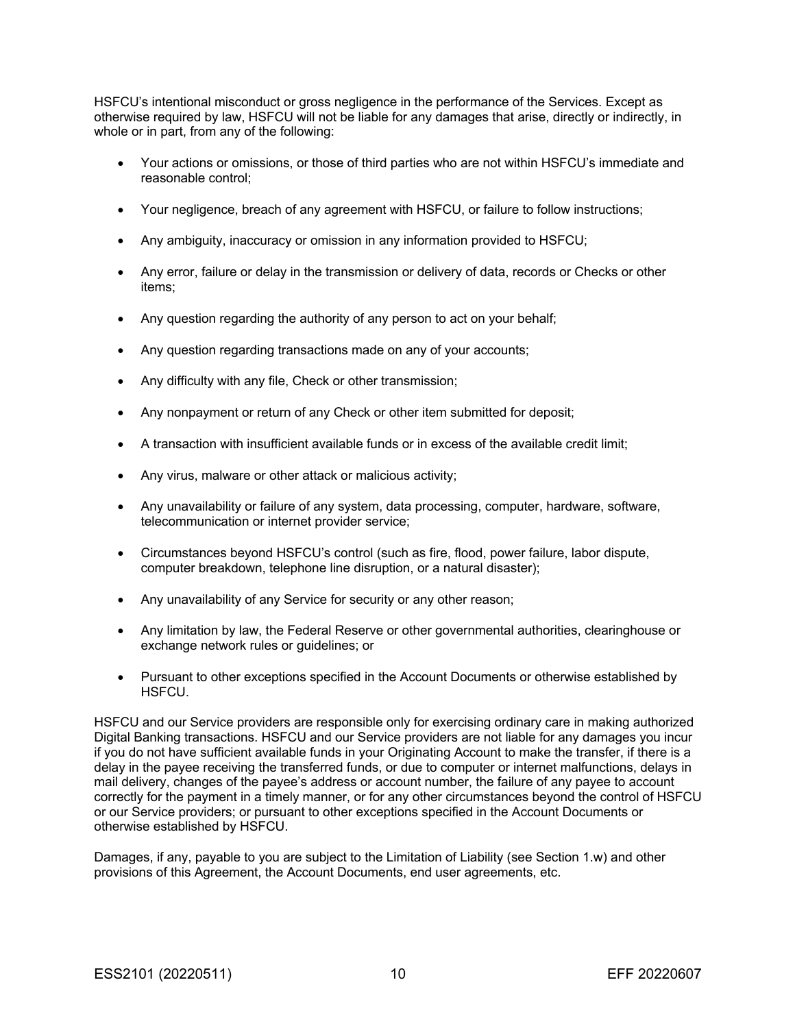HSFCU's intentional misconduct or gross negligence in the performance of the Services. Except as otherwise required by law, HSFCU will not be liable for any damages that arise, directly or indirectly, in whole or in part, from any of the following:

- Your actions or omissions, or those of third parties who are not within HSFCU's immediate and reasonable control;
- Your negligence, breach of any agreement with HSFCU, or failure to follow instructions;
- Any ambiguity, inaccuracy or omission in any information provided to HSFCU;
- Any error, failure or delay in the transmission or delivery of data, records or Checks or other items;
- Any question regarding the authority of any person to act on your behalf;
- Any question regarding transactions made on any of your accounts;
- Any difficulty with any file, Check or other transmission;
- Any nonpayment or return of any Check or other item submitted for deposit;
- A transaction with insufficient available funds or in excess of the available credit limit;
- Any virus, malware or other attack or malicious activity;
- Any unavailability or failure of any system, data processing, computer, hardware, software, telecommunication or internet provider service;
- Circumstances beyond HSFCU's control (such as fire, flood, power failure, labor dispute, computer breakdown, telephone line disruption, or a natural disaster);
- Any unavailability of any Service for security or any other reason;
- Any limitation by law, the Federal Reserve or other governmental authorities, clearinghouse or exchange network rules or guidelines; or
- Pursuant to other exceptions specified in the Account Documents or otherwise established by HSFCU.

HSFCU and our Service providers are responsible only for exercising ordinary care in making authorized Digital Banking transactions. HSFCU and our Service providers are not liable for any damages you incur if you do not have sufficient available funds in your Originating Account to make the transfer, if there is a delay in the payee receiving the transferred funds, or due to computer or internet malfunctions, delays in mail delivery, changes of the payee's address or account number, the failure of any payee to account correctly for the payment in a timely manner, or for any other circumstances beyond the control of HSFCU or our Service providers; or pursuant to other exceptions specified in the Account Documents or otherwise established by HSFCU.

Damages, if any, payable to you are subject to the Limitation of Liability (see Section 1.w) and other provisions of this Agreement, the Account Documents, end user agreements, etc.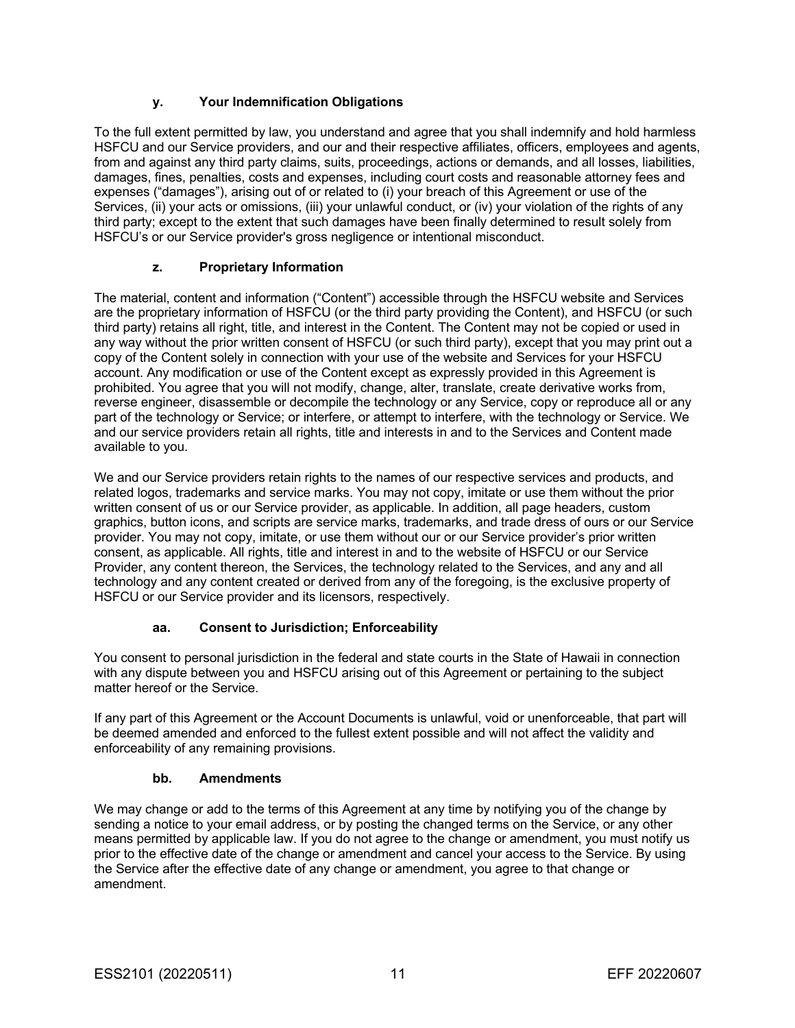## **y. Your Indemnification Obligations**

To the full extent permitted by law, you understand and agree that you shall indemnify and hold harmless HSFCU and our Service providers, and our and their respective affiliates, officers, employees and agents, from and against any third party claims, suits, proceedings, actions or demands, and all losses, liabilities, damages, fines, penalties, costs and expenses, including court costs and reasonable attorney fees and expenses ("damages"), arising out of or related to (i) your breach of this Agreement or use of the Services, (ii) your acts or omissions, (iii) your unlawful conduct, or (iv) your violation of the rights of any third party; except to the extent that such damages have been finally determined to result solely from HSFCU's or our Service provider's gross negligence or intentional misconduct.

## **z. Proprietary Information**

The material, content and information ("Content") accessible through the HSFCU website and Services are the proprietary information of HSFCU (or the third party providing the Content), and HSFCU (or such third party) retains all right, title, and interest in the Content. The Content may not be copied or used in any way without the prior written consent of HSFCU (or such third party), except that you may print out a copy of the Content solely in connection with your use of the website and Services for your HSFCU account. Any modification or use of the Content except as expressly provided in this Agreement is prohibited. You agree that you will not modify, change, alter, translate, create derivative works from, reverse engineer, disassemble or decompile the technology or any Service, copy or reproduce all or any part of the technology or Service; or interfere, or attempt to interfere, with the technology or Service. We and our service providers retain all rights, title and interests in and to the Services and Content made available to you.

We and our Service providers retain rights to the names of our respective services and products, and related logos, trademarks and service marks. You may not copy, imitate or use them without the prior written consent of us or our Service provider, as applicable. In addition, all page headers, custom graphics, button icons, and scripts are service marks, trademarks, and trade dress of ours or our Service provider. You may not copy, imitate, or use them without our or our Service provider's prior written consent, as applicable. All rights, title and interest in and to the website of HSFCU or our Service Provider, any content thereon, the Services, the technology related to the Services, and any and all technology and any content created or derived from any of the foregoing, is the exclusive property of HSFCU or our Service provider and its licensors, respectively.

## **aa. Consent to Jurisdiction; Enforceability**

You consent to personal jurisdiction in the federal and state courts in the State of Hawaii in connection with any dispute between you and HSFCU arising out of this Agreement or pertaining to the subject matter hereof or the Service.

If any part of this Agreement or the Account Documents is unlawful, void or unenforceable, that part will be deemed amended and enforced to the fullest extent possible and will not affect the validity and enforceability of any remaining provisions.

#### **bb. Amendments**

We may change or add to the terms of this Agreement at any time by notifying you of the change by sending a notice to your email address, or by posting the changed terms on the Service, or any other means permitted by applicable law. If you do not agree to the change or amendment, you must notify us prior to the effective date of the change or amendment and cancel your access to the Service. By using the Service after the effective date of any change or amendment, you agree to that change or amendment.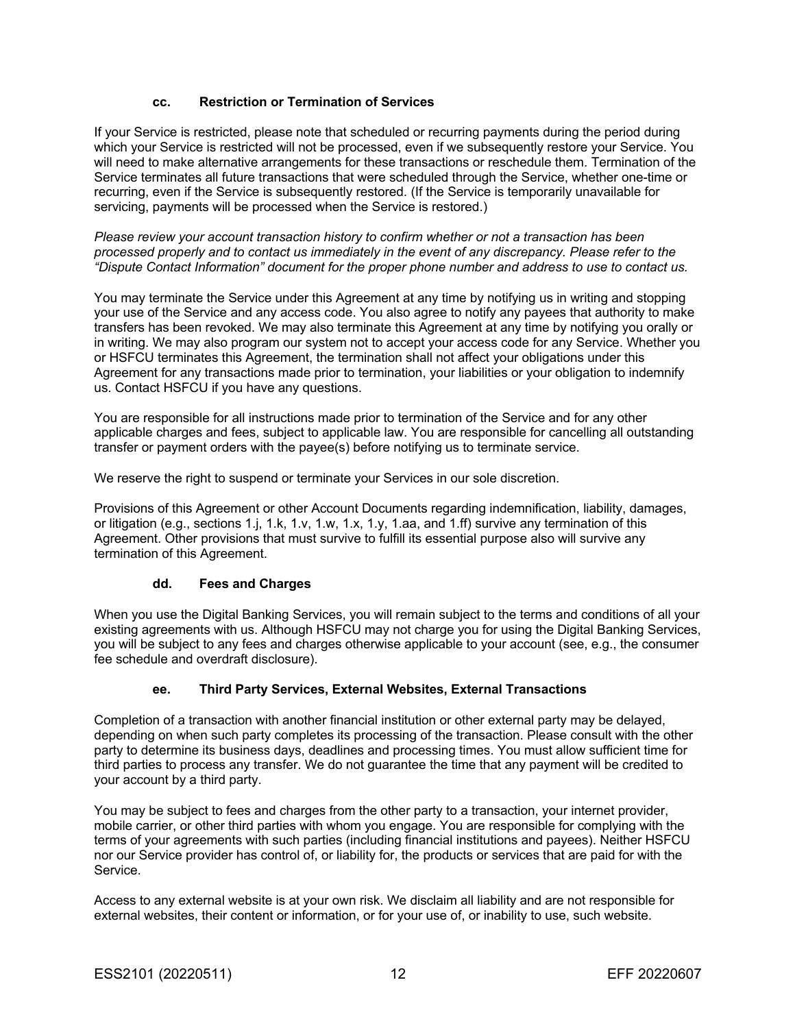### **cc. Restriction or Termination of Services**

If your Service is restricted, please note that scheduled or recurring payments during the period during which your Service is restricted will not be processed, even if we subsequently restore your Service. You will need to make alternative arrangements for these transactions or reschedule them. Termination of the Service terminates all future transactions that were scheduled through the Service, whether one-time or recurring, even if the Service is subsequently restored. (If the Service is temporarily unavailable for servicing, payments will be processed when the Service is restored.)

*Please review your account transaction history to confirm whether or not a transaction has been processed properly and to contact us immediately in the event of any discrepancy. Please refer to the "Dispute Contact Information" document for the proper phone number and address to use to contact us.*

You may terminate the Service under this Agreement at any time by notifying us in writing and stopping your use of the Service and any access code. You also agree to notify any payees that authority to make transfers has been revoked. We may also terminate this Agreement at any time by notifying you orally or in writing. We may also program our system not to accept your access code for any Service. Whether you or HSFCU terminates this Agreement, the termination shall not affect your obligations under this Agreement for any transactions made prior to termination, your liabilities or your obligation to indemnify us. Contact HSFCU if you have any questions.

You are responsible for all instructions made prior to termination of the Service and for any other applicable charges and fees, subject to applicable law. You are responsible for cancelling all outstanding transfer or payment orders with the payee(s) before notifying us to terminate service.

We reserve the right to suspend or terminate your Services in our sole discretion.

Provisions of this Agreement or other Account Documents regarding indemnification, liability, damages, or litigation (e.g., sections 1.j, 1.k, 1.v, 1.w, 1.x, 1.y, 1.aa, and 1.ff) survive any termination of this Agreement. Other provisions that must survive to fulfill its essential purpose also will survive any termination of this Agreement.

#### **dd. Fees and Charges**

When you use the Digital Banking Services, you will remain subject to the terms and conditions of all your existing agreements with us. Although HSFCU may not charge you for using the Digital Banking Services, you will be subject to any fees and charges otherwise applicable to your account (see, e.g., the consumer fee schedule and overdraft disclosure).

#### **ee. Third Party Services, External Websites, External Transactions**

Completion of a transaction with another financial institution or other external party may be delayed, depending on when such party completes its processing of the transaction. Please consult with the other party to determine its business days, deadlines and processing times. You must allow sufficient time for third parties to process any transfer. We do not guarantee the time that any payment will be credited to your account by a third party.

You may be subject to fees and charges from the other party to a transaction, your internet provider, mobile carrier, or other third parties with whom you engage. You are responsible for complying with the terms of your agreements with such parties (including financial institutions and payees). Neither HSFCU nor our Service provider has control of, or liability for, the products or services that are paid for with the Service.

Access to any external website is at your own risk. We disclaim all liability and are not responsible for external websites, their content or information, or for your use of, or inability to use, such website.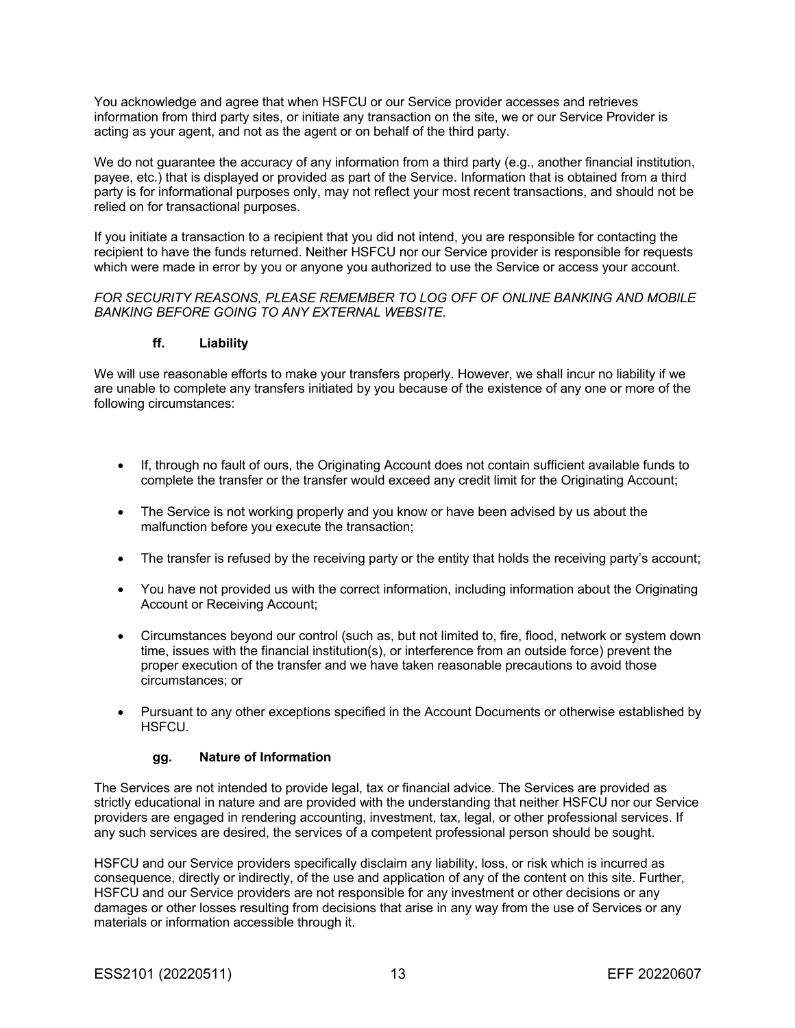You acknowledge and agree that when HSFCU or our Service provider accesses and retrieves information from third party sites, or initiate any transaction on the site, we or our Service Provider is acting as your agent, and not as the agent or on behalf of the third party.

We do not guarantee the accuracy of any information from a third party (e.g., another financial institution, payee, etc.) that is displayed or provided as part of the Service. Information that is obtained from a third party is for informational purposes only, may not reflect your most recent transactions, and should not be relied on for transactional purposes.

If you initiate a transaction to a recipient that you did not intend, you are responsible for contacting the recipient to have the funds returned. Neither HSFCU nor our Service provider is responsible for requests which were made in error by you or anyone you authorized to use the Service or access your account.

#### *FOR SECURITY REASONS, PLEASE REMEMBER TO LOG OFF OF ONLINE BANKING AND MOBILE BANKING BEFORE GOING TO ANY EXTERNAL WEBSITE.*

#### **ff. Liability**

We will use reasonable efforts to make your transfers properly. However, we shall incur no liability if we are unable to complete any transfers initiated by you because of the existence of any one or more of the following circumstances:

- If, through no fault of ours, the Originating Account does not contain sufficient available funds to complete the transfer or the transfer would exceed any credit limit for the Originating Account;
- The Service is not working properly and you know or have been advised by us about the malfunction before you execute the transaction;
- The transfer is refused by the receiving party or the entity that holds the receiving party's account;
- You have not provided us with the correct information, including information about the Originating Account or Receiving Account;
- Circumstances beyond our control (such as, but not limited to, fire, flood, network or system down time, issues with the financial institution(s), or interference from an outside force) prevent the proper execution of the transfer and we have taken reasonable precautions to avoid those circumstances; or
- Pursuant to any other exceptions specified in the Account Documents or otherwise established by HSFCU.

#### **gg. Nature of Information**

The Services are not intended to provide legal, tax or financial advice. The Services are provided as strictly educational in nature and are provided with the understanding that neither HSFCU nor our Service providers are engaged in rendering accounting, investment, tax, legal, or other professional services. If any such services are desired, the services of a competent professional person should be sought.

HSFCU and our Service providers specifically disclaim any liability, loss, or risk which is incurred as consequence, directly or indirectly, of the use and application of any of the content on this site. Further, HSFCU and our Service providers are not responsible for any investment or other decisions or any damages or other losses resulting from decisions that arise in any way from the use of Services or any materials or information accessible through it.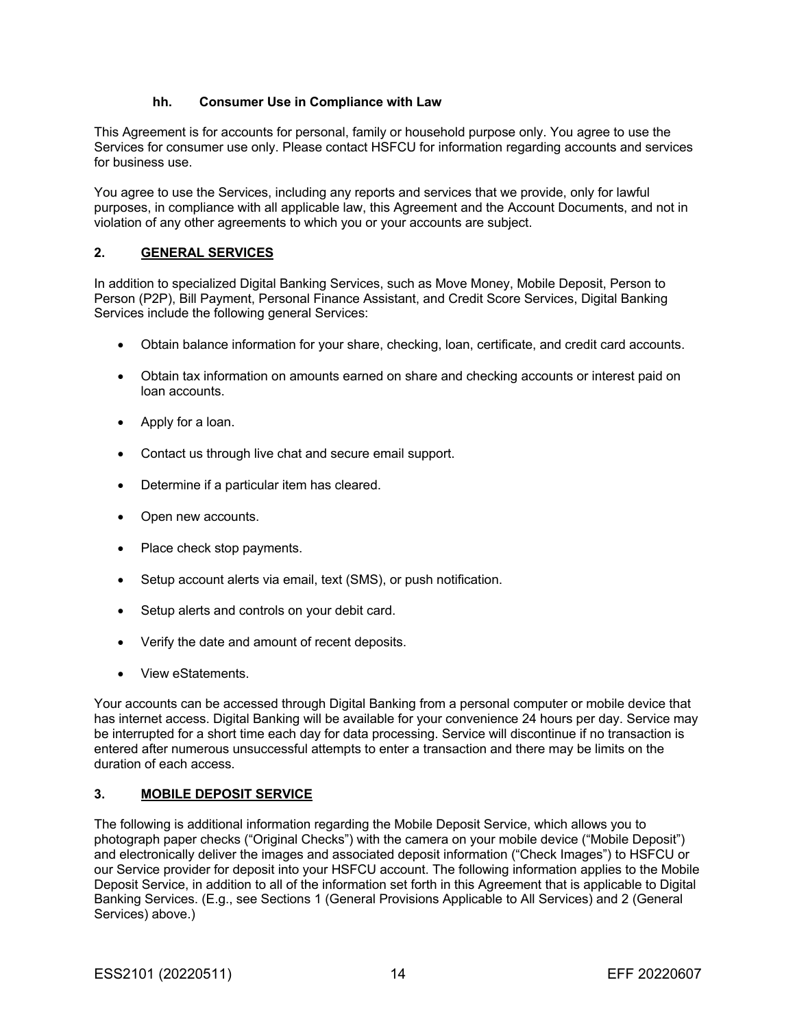#### **hh. Consumer Use in Compliance with Law**

This Agreement is for accounts for personal, family or household purpose only. You agree to use the Services for consumer use only. Please contact HSFCU for information regarding accounts and services for business use.

You agree to use the Services, including any reports and services that we provide, only for lawful purposes, in compliance with all applicable law, this Agreement and the Account Documents, and not in violation of any other agreements to which you or your accounts are subject.

#### **2. GENERAL SERVICES**

In addition to specialized Digital Banking Services, such as Move Money, Mobile Deposit, Person to Person (P2P), Bill Payment, Personal Finance Assistant, and Credit Score Services, Digital Banking Services include the following general Services:

- Obtain balance information for your share, checking, loan, certificate, and credit card accounts.
- Obtain tax information on amounts earned on share and checking accounts or interest paid on loan accounts.
- Apply for a loan.
- Contact us through live chat and secure email support.
- Determine if a particular item has cleared.
- Open new accounts.
- Place check stop payments.
- Setup account alerts via email, text (SMS), or push notification.
- Setup alerts and controls on your debit card.
- Verify the date and amount of recent deposits.
- View eStatements.

Your accounts can be accessed through Digital Banking from a personal computer or mobile device that has internet access. Digital Banking will be available for your convenience 24 hours per day. Service may be interrupted for a short time each day for data processing. Service will discontinue if no transaction is entered after numerous unsuccessful attempts to enter a transaction and there may be limits on the duration of each access.

#### **3. MOBILE DEPOSIT SERVICE**

The following is additional information regarding the Mobile Deposit Service, which allows you to photograph paper checks ("Original Checks") with the camera on your mobile device ("Mobile Deposit") and electronically deliver the images and associated deposit information ("Check Images") to HSFCU or our Service provider for deposit into your HSFCU account. The following information applies to the Mobile Deposit Service, in addition to all of the information set forth in this Agreement that is applicable to Digital Banking Services. (E.g., see Sections 1 (General Provisions Applicable to All Services) and 2 (General Services) above.)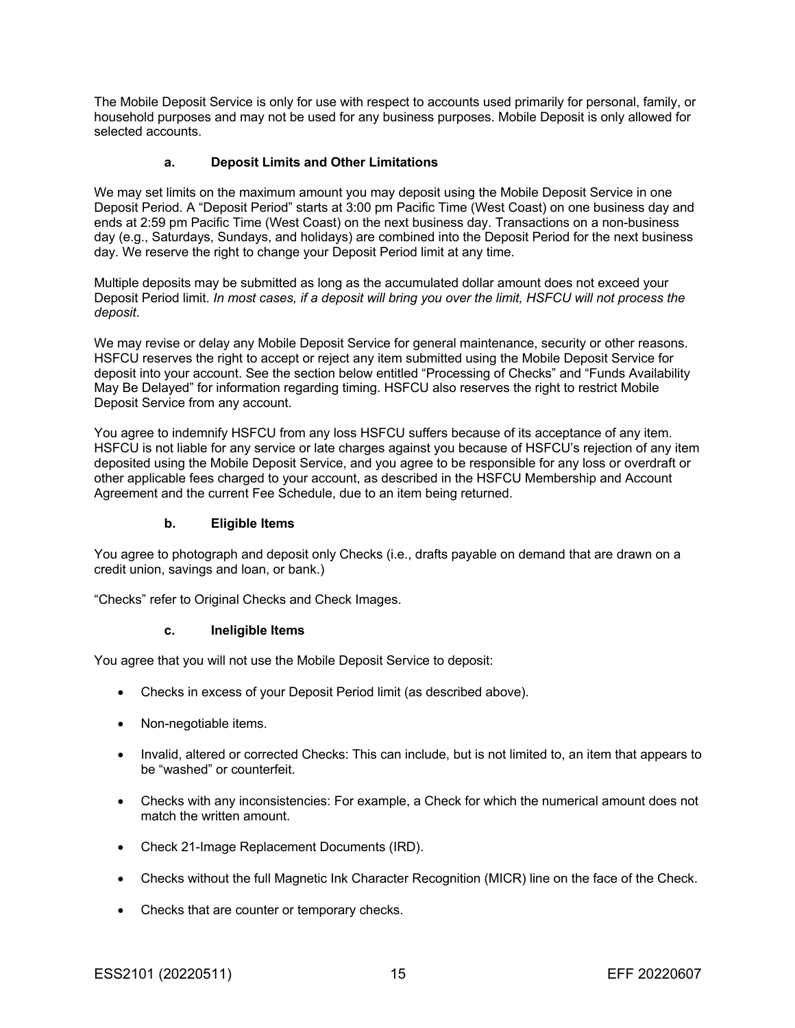The Mobile Deposit Service is only for use with respect to accounts used primarily for personal, family, or household purposes and may not be used for any business purposes. Mobile Deposit is only allowed for selected accounts.

#### **a. Deposit Limits and Other Limitations**

We may set limits on the maximum amount you may deposit using the Mobile Deposit Service in one Deposit Period. A "Deposit Period" starts at 3:00 pm Pacific Time (West Coast) on one business day and ends at 2:59 pm Pacific Time (West Coast) on the next business day. Transactions on a non-business day (e.g., Saturdays, Sundays, and holidays) are combined into the Deposit Period for the next business day. We reserve the right to change your Deposit Period limit at any time.

Multiple deposits may be submitted as long as the accumulated dollar amount does not exceed your Deposit Period limit. *In most cases, if a deposit will bring you over the limit, HSFCU will not process the deposit*.

We may revise or delay any Mobile Deposit Service for general maintenance, security or other reasons. HSFCU reserves the right to accept or reject any item submitted using the Mobile Deposit Service for deposit into your account. See the section below entitled "Processing of Checks" and "Funds Availability May Be Delayed" for information regarding timing. HSFCU also reserves the right to restrict Mobile Deposit Service from any account.

You agree to indemnify HSFCU from any loss HSFCU suffers because of its acceptance of any item. HSFCU is not liable for any service or late charges against you because of HSFCU's rejection of any item deposited using the Mobile Deposit Service, and you agree to be responsible for any loss or overdraft or other applicable fees charged to your account, as described in the HSFCU Membership and Account Agreement and the current Fee Schedule, due to an item being returned.

#### **b. Eligible Items**

You agree to photograph and deposit only Checks (i.e., drafts payable on demand that are drawn on a credit union, savings and loan, or bank.)

"Checks" refer to Original Checks and Check Images.

#### **c. Ineligible Items**

You agree that you will not use the Mobile Deposit Service to deposit:

- Checks in excess of your Deposit Period limit (as described above).
- Non-negotiable items.
- Invalid, altered or corrected Checks: This can include, but is not limited to, an item that appears to be "washed" or counterfeit.
- Checks with any inconsistencies: For example, a Check for which the numerical amount does not match the written amount.
- Check 21-Image Replacement Documents (IRD).
- Checks without the full Magnetic Ink Character Recognition (MICR) line on the face of the Check.
- Checks that are counter or temporary checks.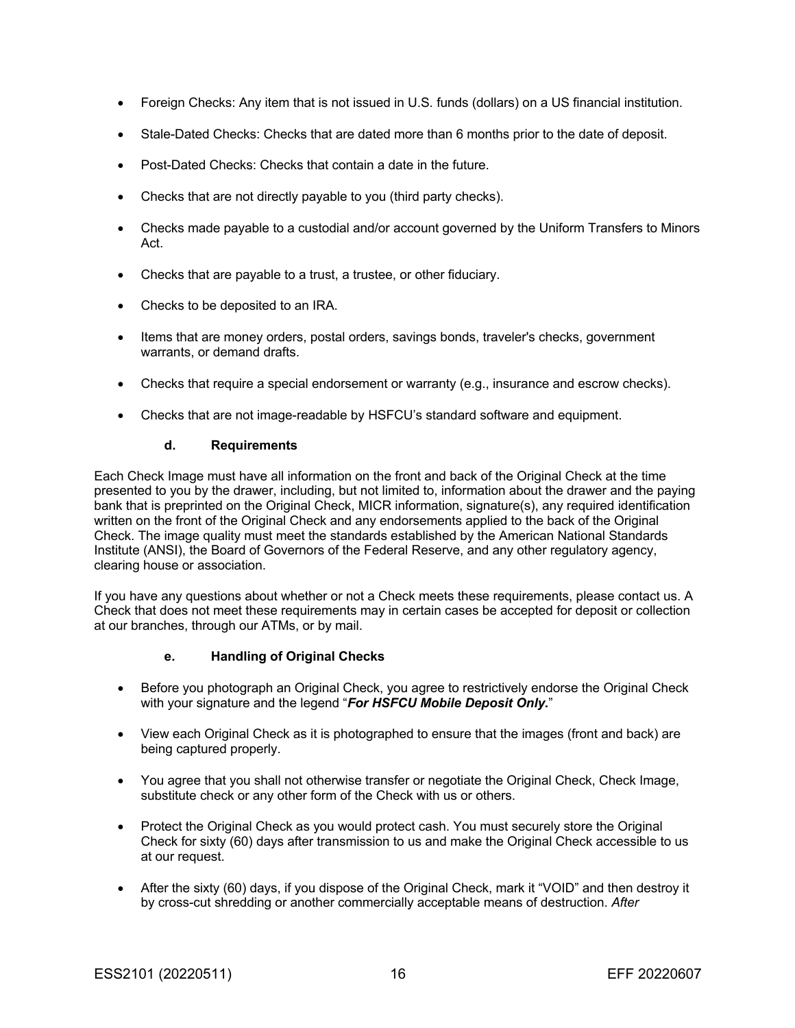- Foreign Checks: Any item that is not issued in U.S. funds (dollars) on a US financial institution.
- Stale-Dated Checks: Checks that are dated more than 6 months prior to the date of deposit.
- Post-Dated Checks: Checks that contain a date in the future.
- Checks that are not directly payable to you (third party checks).
- Checks made payable to a custodial and/or account governed by the Uniform Transfers to Minors Act.
- Checks that are payable to a trust, a trustee, or other fiduciary.
- Checks to be deposited to an IRA.
- Items that are money orders, postal orders, savings bonds, traveler's checks, government warrants, or demand drafts.
- Checks that require a special endorsement or warranty (e.g., insurance and escrow checks).
- Checks that are not image-readable by HSFCU's standard software and equipment.

#### **d. Requirements**

Each Check Image must have all information on the front and back of the Original Check at the time presented to you by the drawer, including, but not limited to, information about the drawer and the paying bank that is preprinted on the Original Check, MICR information, signature(s), any required identification written on the front of the Original Check and any endorsements applied to the back of the Original Check. The image quality must meet the standards established by the American National Standards Institute (ANSI), the Board of Governors of the Federal Reserve, and any other regulatory agency, clearing house or association.

If you have any questions about whether or not a Check meets these requirements, please contact us. A Check that does not meet these requirements may in certain cases be accepted for deposit or collection at our branches, through our ATMs, or by mail.

#### **e. Handling of Original Checks**

- Before you photograph an Original Check, you agree to restrictively endorse the Original Check with your signature and the legend "*For HSFCU Mobile Deposit Only.*"
- View each Original Check as it is photographed to ensure that the images (front and back) are being captured properly.
- You agree that you shall not otherwise transfer or negotiate the Original Check, Check Image, substitute check or any other form of the Check with us or others.
- Protect the Original Check as you would protect cash. You must securely store the Original Check for sixty (60) days after transmission to us and make the Original Check accessible to us at our request.
- After the sixty (60) days, if you dispose of the Original Check, mark it "VOID" and then destroy it by cross-cut shredding or another commercially acceptable means of destruction. *After*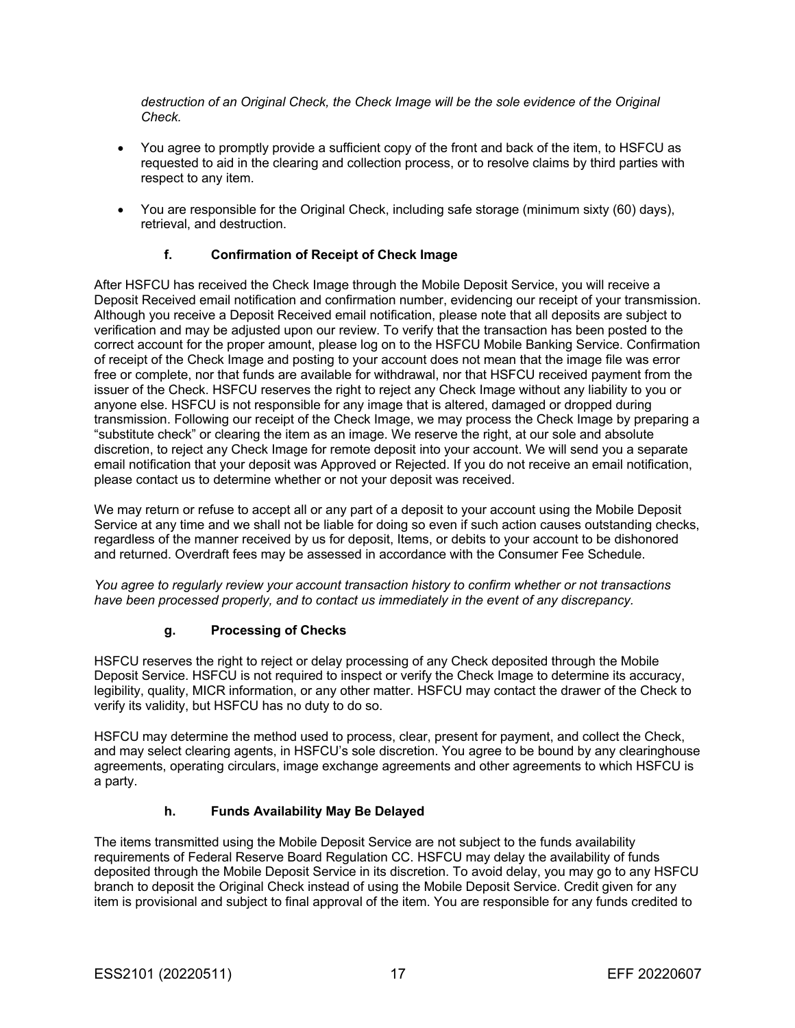*destruction of an Original Check, the Check Image will be the sole evidence of the Original Check.*

- You agree to promptly provide a sufficient copy of the front and back of the item, to HSFCU as requested to aid in the clearing and collection process, or to resolve claims by third parties with respect to any item.
- You are responsible for the Original Check, including safe storage (minimum sixty (60) days), retrieval, and destruction.

### **f. Confirmation of Receipt of Check Image**

After HSFCU has received the Check Image through the Mobile Deposit Service, you will receive a Deposit Received email notification and confirmation number, evidencing our receipt of your transmission. Although you receive a Deposit Received email notification, please note that all deposits are subject to verification and may be adjusted upon our review. To verify that the transaction has been posted to the correct account for the proper amount, please log on to the HSFCU Mobile Banking Service. Confirmation of receipt of the Check Image and posting to your account does not mean that the image file was error free or complete, nor that funds are available for withdrawal, nor that HSFCU received payment from the issuer of the Check. HSFCU reserves the right to reject any Check Image without any liability to you or anyone else. HSFCU is not responsible for any image that is altered, damaged or dropped during transmission. Following our receipt of the Check Image, we may process the Check Image by preparing a "substitute check" or clearing the item as an image. We reserve the right, at our sole and absolute discretion, to reject any Check Image for remote deposit into your account. We will send you a separate email notification that your deposit was Approved or Rejected. If you do not receive an email notification, please contact us to determine whether or not your deposit was received.

We may return or refuse to accept all or any part of a deposit to your account using the Mobile Deposit Service at any time and we shall not be liable for doing so even if such action causes outstanding checks, regardless of the manner received by us for deposit, Items, or debits to your account to be dishonored and returned. Overdraft fees may be assessed in accordance with the Consumer Fee Schedule.

*You agree to regularly review your account transaction history to confirm whether or not transactions have been processed properly, and to contact us immediately in the event of any discrepancy.*

#### **g. Processing of Checks**

HSFCU reserves the right to reject or delay processing of any Check deposited through the Mobile Deposit Service. HSFCU is not required to inspect or verify the Check Image to determine its accuracy, legibility, quality, MICR information, or any other matter. HSFCU may contact the drawer of the Check to verify its validity, but HSFCU has no duty to do so.

HSFCU may determine the method used to process, clear, present for payment, and collect the Check, and may select clearing agents, in HSFCU's sole discretion. You agree to be bound by any clearinghouse agreements, operating circulars, image exchange agreements and other agreements to which HSFCU is a party.

## **h. Funds Availability May Be Delayed**

The items transmitted using the Mobile Deposit Service are not subject to the funds availability requirements of Federal Reserve Board Regulation CC. HSFCU may delay the availability of funds deposited through the Mobile Deposit Service in its discretion. To avoid delay, you may go to any HSFCU branch to deposit the Original Check instead of using the Mobile Deposit Service. Credit given for any item is provisional and subject to final approval of the item. You are responsible for any funds credited to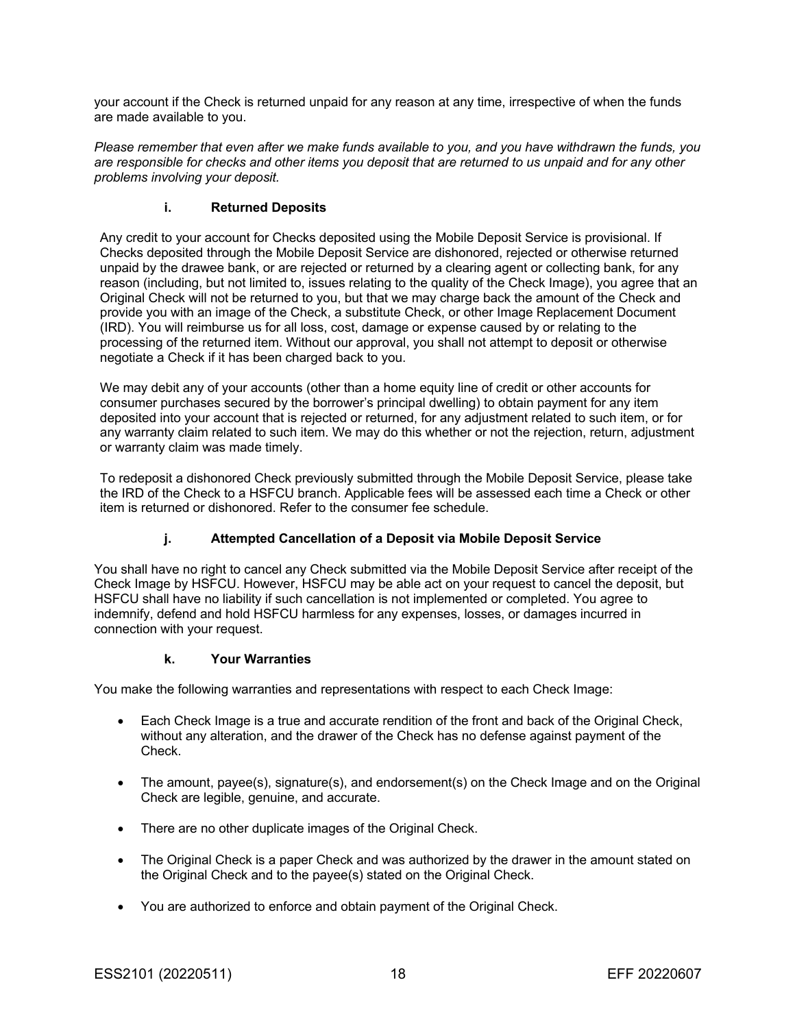your account if the Check is returned unpaid for any reason at any time, irrespective of when the funds are made available to you.

*Please remember that even after we make funds available to you, and you have withdrawn the funds, you are responsible for checks and other items you deposit that are returned to us unpaid and for any other problems involving your deposit.*

### **i. Returned Deposits**

Any credit to your account for Checks deposited using the Mobile Deposit Service is provisional. If Checks deposited through the Mobile Deposit Service are dishonored, rejected or otherwise returned unpaid by the drawee bank, or are rejected or returned by a clearing agent or collecting bank, for any reason (including, but not limited to, issues relating to the quality of the Check Image), you agree that an Original Check will not be returned to you, but that we may charge back the amount of the Check and provide you with an image of the Check, a substitute Check, or other Image Replacement Document (IRD). You will reimburse us for all loss, cost, damage or expense caused by or relating to the processing of the returned item. Without our approval, you shall not attempt to deposit or otherwise negotiate a Check if it has been charged back to you.

We may debit any of your accounts (other than a home equity line of credit or other accounts for consumer purchases secured by the borrower's principal dwelling) to obtain payment for any item deposited into your account that is rejected or returned, for any adjustment related to such item, or for any warranty claim related to such item. We may do this whether or not the rejection, return, adjustment or warranty claim was made timely.

To redeposit a dishonored Check previously submitted through the Mobile Deposit Service, please take the IRD of the Check to a HSFCU branch. Applicable fees will be assessed each time a Check or other item is returned or dishonored. Refer to the consumer fee schedule.

## **j. Attempted Cancellation of a Deposit via Mobile Deposit Service**

You shall have no right to cancel any Check submitted via the Mobile Deposit Service after receipt of the Check Image by HSFCU. However, HSFCU may be able act on your request to cancel the deposit, but HSFCU shall have no liability if such cancellation is not implemented or completed. You agree to indemnify, defend and hold HSFCU harmless for any expenses, losses, or damages incurred in connection with your request.

#### **k. Your Warranties**

You make the following warranties and representations with respect to each Check Image:

- Each Check Image is a true and accurate rendition of the front and back of the Original Check, without any alteration, and the drawer of the Check has no defense against payment of the Check.
- The amount, payee(s), signature(s), and endorsement(s) on the Check Image and on the Original Check are legible, genuine, and accurate.
- There are no other duplicate images of the Original Check.
- The Original Check is a paper Check and was authorized by the drawer in the amount stated on the Original Check and to the payee(s) stated on the Original Check.
- You are authorized to enforce and obtain payment of the Original Check.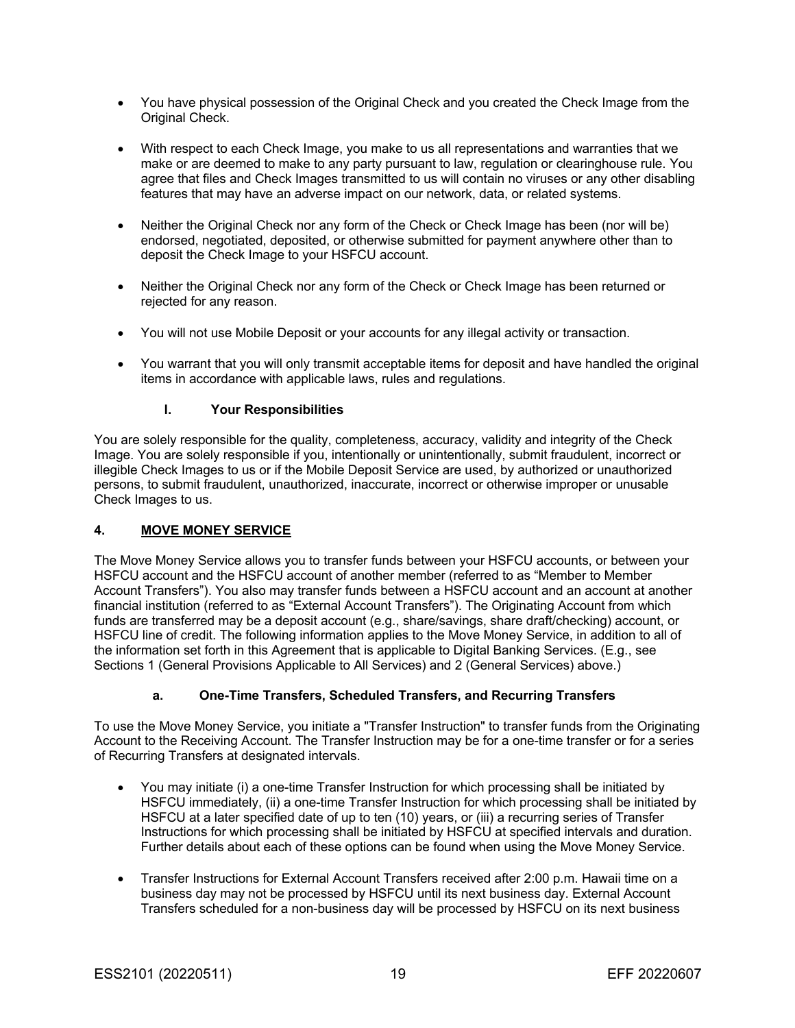- You have physical possession of the Original Check and you created the Check Image from the Original Check.
- With respect to each Check Image, you make to us all representations and warranties that we make or are deemed to make to any party pursuant to law, regulation or clearinghouse rule. You agree that files and Check Images transmitted to us will contain no viruses or any other disabling features that may have an adverse impact on our network, data, or related systems.
- Neither the Original Check nor any form of the Check or Check Image has been (nor will be) endorsed, negotiated, deposited, or otherwise submitted for payment anywhere other than to deposit the Check Image to your HSFCU account.
- Neither the Original Check nor any form of the Check or Check Image has been returned or rejected for any reason.
- You will not use Mobile Deposit or your accounts for any illegal activity or transaction.
- You warrant that you will only transmit acceptable items for deposit and have handled the original items in accordance with applicable laws, rules and regulations.

### **l. Your Responsibilities**

You are solely responsible for the quality, completeness, accuracy, validity and integrity of the Check Image. You are solely responsible if you, intentionally or unintentionally, submit fraudulent, incorrect or illegible Check Images to us or if the Mobile Deposit Service are used, by authorized or unauthorized persons, to submit fraudulent, unauthorized, inaccurate, incorrect or otherwise improper or unusable Check Images to us.

## **4. MOVE MONEY SERVICE**

The Move Money Service allows you to transfer funds between your HSFCU accounts, or between your HSFCU account and the HSFCU account of another member (referred to as "Member to Member Account Transfers"). You also may transfer funds between a HSFCU account and an account at another financial institution (referred to as "External Account Transfers"). The Originating Account from which funds are transferred may be a deposit account (e.g., share/savings, share draft/checking) account, or HSFCU line of credit. The following information applies to the Move Money Service, in addition to all of the information set forth in this Agreement that is applicable to Digital Banking Services. (E.g., see Sections 1 (General Provisions Applicable to All Services) and 2 (General Services) above.)

## **a. One-Time Transfers, Scheduled Transfers, and Recurring Transfers**

To use the Move Money Service, you initiate a "Transfer Instruction" to transfer funds from the Originating Account to the Receiving Account. The Transfer Instruction may be for a one-time transfer or for a series of Recurring Transfers at designated intervals.

- You may initiate (i) a one-time Transfer Instruction for which processing shall be initiated by HSFCU immediately, (ii) a one-time Transfer Instruction for which processing shall be initiated by HSFCU at a later specified date of up to ten (10) years, or (iii) a recurring series of Transfer Instructions for which processing shall be initiated by HSFCU at specified intervals and duration. Further details about each of these options can be found when using the Move Money Service.
- Transfer Instructions for External Account Transfers received after 2:00 p.m. Hawaii time on a business day may not be processed by HSFCU until its next business day. External Account Transfers scheduled for a non-business day will be processed by HSFCU on its next business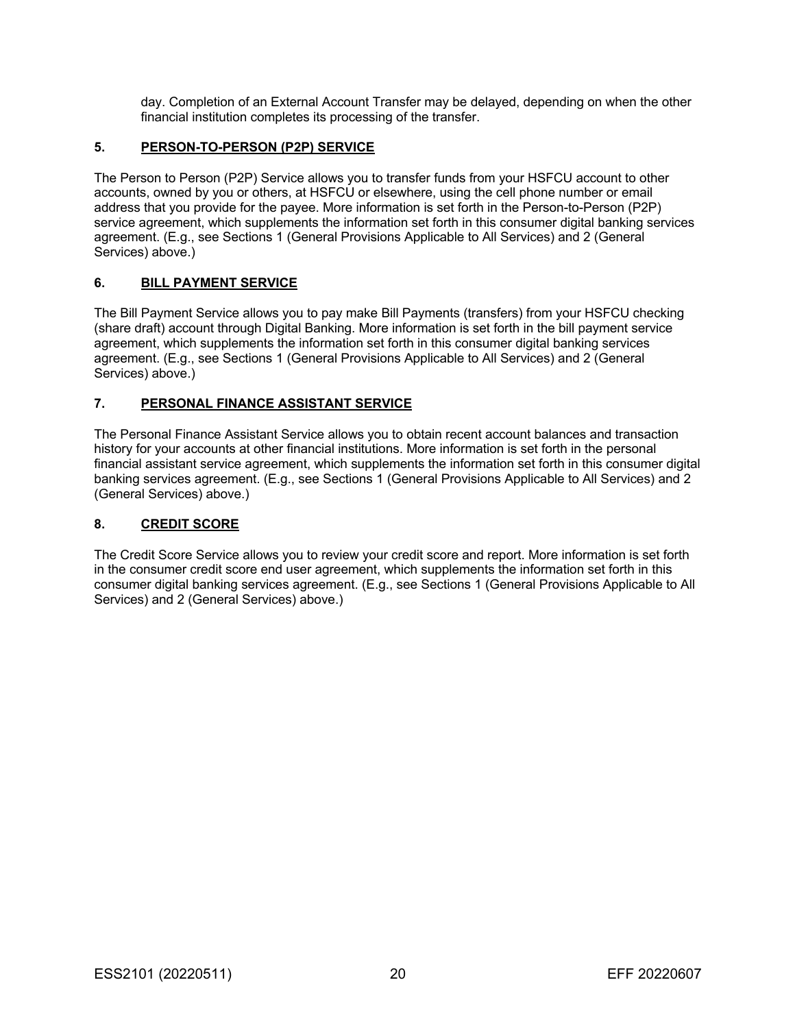day. Completion of an External Account Transfer may be delayed, depending on when the other financial institution completes its processing of the transfer.

### **5. PERSON-TO-PERSON (P2P) SERVICE**

The Person to Person (P2P) Service allows you to transfer funds from your HSFCU account to other accounts, owned by you or others, at HSFCU or elsewhere, using the cell phone number or email address that you provide for the payee. More information is set forth in the Person-to-Person (P2P) service agreement, which supplements the information set forth in this consumer digital banking services agreement. (E.g., see Sections 1 (General Provisions Applicable to All Services) and 2 (General Services) above.)

### **6. BILL PAYMENT SERVICE**

The Bill Payment Service allows you to pay make Bill Payments (transfers) from your HSFCU checking (share draft) account through Digital Banking. More information is set forth in the bill payment service agreement, which supplements the information set forth in this consumer digital banking services agreement. (E.g., see Sections 1 (General Provisions Applicable to All Services) and 2 (General Services) above.)

### **7. PERSONAL FINANCE ASSISTANT SERVICE**

The Personal Finance Assistant Service allows you to obtain recent account balances and transaction history for your accounts at other financial institutions. More information is set forth in the personal financial assistant service agreement, which supplements the information set forth in this consumer digital banking services agreement. (E.g., see Sections 1 (General Provisions Applicable to All Services) and 2 (General Services) above.)

#### **8. CREDIT SCORE**

The Credit Score Service allows you to review your credit score and report. More information is set forth in the consumer credit score end user agreement, which supplements the information set forth in this consumer digital banking services agreement. (E.g., see Sections 1 (General Provisions Applicable to All Services) and 2 (General Services) above.)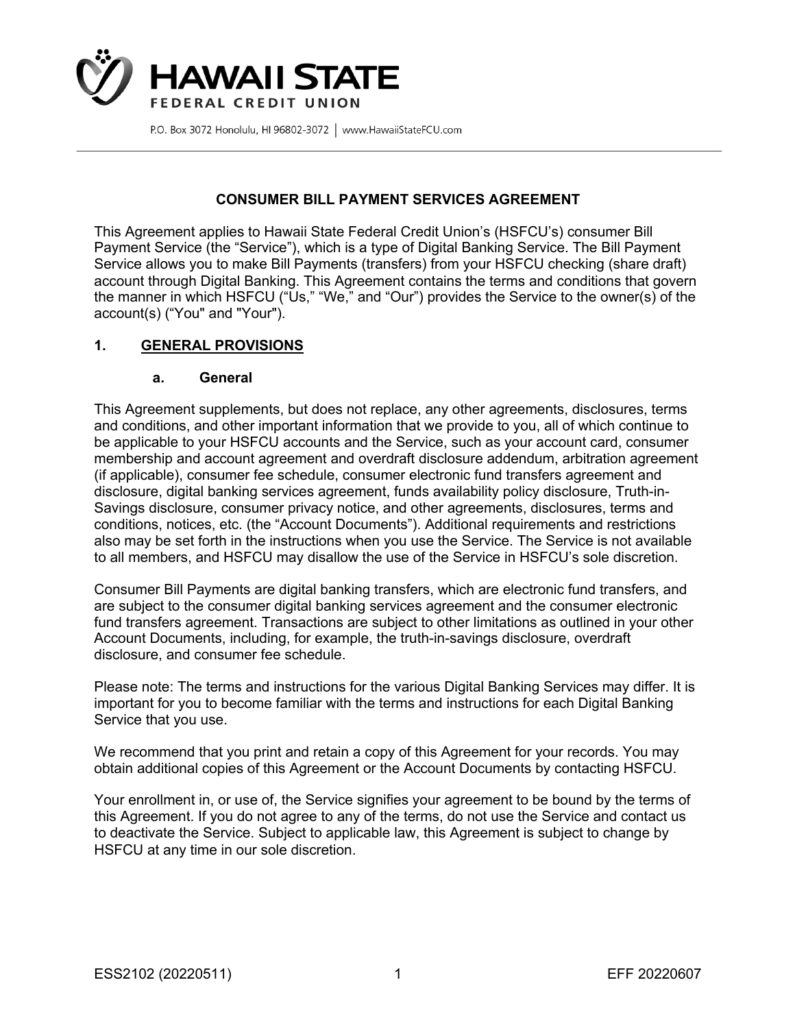

## **CONSUMER BILL PAYMENT SERVICES AGREEMENT**

This Agreement applies to Hawaii State Federal Credit Union's (HSFCU's) consumer Bill Payment Service (the "Service"), which is a type of Digital Banking Service. The Bill Payment Service allows you to make Bill Payments (transfers) from your HSFCU checking (share draft) account through Digital Banking. This Agreement contains the terms and conditions that govern the manner in which HSFCU ("Us," "We," and "Our") provides the Service to the owner(s) of the account(s) ("You" and "Your").

## **1. GENERAL PROVISIONS**

### **a. General**

This Agreement supplements, but does not replace, any other agreements, disclosures, terms and conditions, and other important information that we provide to you, all of which continue to be applicable to your HSFCU accounts and the Service, such as your account card, consumer membership and account agreement and overdraft disclosure addendum, arbitration agreement (if applicable), consumer fee schedule, consumer electronic fund transfers agreement and disclosure, digital banking services agreement, funds availability policy disclosure, Truth-in-Savings disclosure, consumer privacy notice, and other agreements, disclosures, terms and conditions, notices, etc. (the "Account Documents"). Additional requirements and restrictions also may be set forth in the instructions when you use the Service. The Service is not available to all members, and HSFCU may disallow the use of the Service in HSFCU's sole discretion.

Consumer Bill Payments are digital banking transfers, which are electronic fund transfers, and are subject to the consumer digital banking services agreement and the consumer electronic fund transfers agreement. Transactions are subject to other limitations as outlined in your other Account Documents, including, for example, the truth-in-savings disclosure, overdraft disclosure, and consumer fee schedule.

Please note: The terms and instructions for the various Digital Banking Services may differ. It is important for you to become familiar with the terms and instructions for each Digital Banking Service that you use.

We recommend that you print and retain a copy of this Agreement for your records. You may obtain additional copies of this Agreement or the Account Documents by contacting HSFCU.

Your enrollment in, or use of, the Service signifies your agreement to be bound by the terms of this Agreement. If you do not agree to any of the terms, do not use the Service and contact us to deactivate the Service. Subject to applicable law, this Agreement is subject to change by HSFCU at any time in our sole discretion.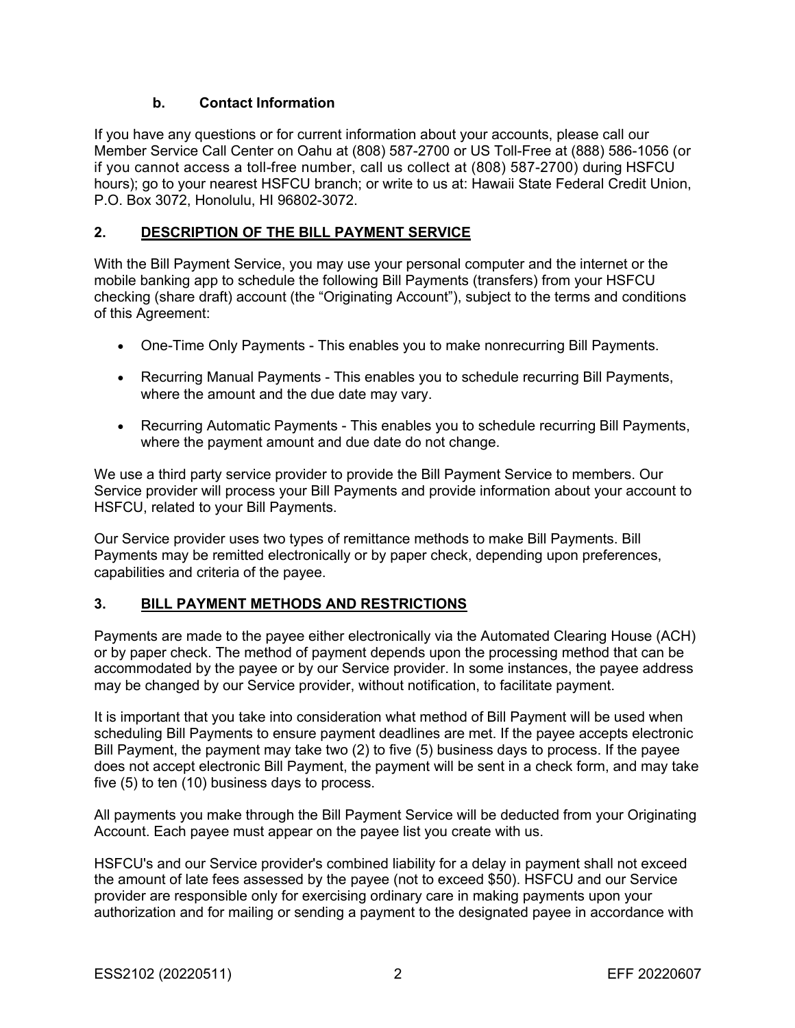# **b. Contact Information**

If you have any questions or for current information about your accounts, please call our Member Service Call Center on Oahu at (808) 587-2700 or US Toll-Free at (888) 586-1056 (or if you cannot access a toll-free number, call us collect at (808) 587-2700) during HSFCU hours); go to your nearest HSFCU branch; or write to us at: Hawaii State Federal Credit Union, P.O. Box 3072, Honolulu, HI 96802-3072.

## **2. DESCRIPTION OF THE BILL PAYMENT SERVICE**

With the Bill Payment Service, you may use your personal computer and the internet or the mobile banking app to schedule the following Bill Payments (transfers) from your HSFCU checking (share draft) account (the "Originating Account"), subject to the terms and conditions of this Agreement:

- One-Time Only Payments This enables you to make nonrecurring Bill Payments.
- Recurring Manual Payments This enables you to schedule recurring Bill Payments, where the amount and the due date may vary.
- Recurring Automatic Payments This enables you to schedule recurring Bill Payments, where the payment amount and due date do not change.

We use a third party service provider to provide the Bill Payment Service to members. Our Service provider will process your Bill Payments and provide information about your account to HSFCU, related to your Bill Payments.

Our Service provider uses two types of remittance methods to make Bill Payments. Bill Payments may be remitted electronically or by paper check, depending upon preferences, capabilities and criteria of the payee.

# **3. BILL PAYMENT METHODS AND RESTRICTIONS**

Payments are made to the payee either electronically via the Automated Clearing House (ACH) or by paper check. The method of payment depends upon the processing method that can be accommodated by the payee or by our Service provider. In some instances, the payee address may be changed by our Service provider, without notification, to facilitate payment.

It is important that you take into consideration what method of Bill Payment will be used when scheduling Bill Payments to ensure payment deadlines are met. If the payee accepts electronic Bill Payment, the payment may take two (2) to five (5) business days to process. If the payee does not accept electronic Bill Payment, the payment will be sent in a check form, and may take five (5) to ten (10) business days to process.

All payments you make through the Bill Payment Service will be deducted from your Originating Account. Each payee must appear on the payee list you create with us.

HSFCU's and our Service provider's combined liability for a delay in payment shall not exceed the amount of late fees assessed by the payee (not to exceed \$50). HSFCU and our Service provider are responsible only for exercising ordinary care in making payments upon your authorization and for mailing or sending a payment to the designated payee in accordance with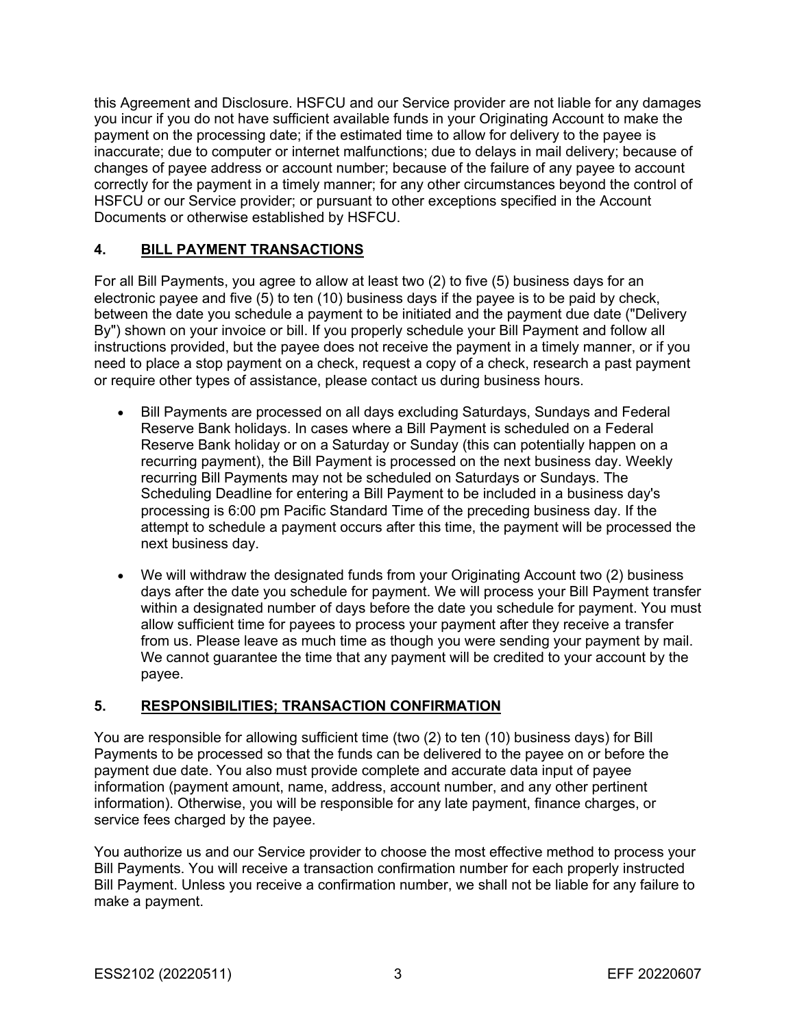this Agreement and Disclosure. HSFCU and our Service provider are not liable for any damages you incur if you do not have sufficient available funds in your Originating Account to make the payment on the processing date; if the estimated time to allow for delivery to the payee is inaccurate; due to computer or internet malfunctions; due to delays in mail delivery; because of changes of payee address or account number; because of the failure of any payee to account correctly for the payment in a timely manner; for any other circumstances beyond the control of HSFCU or our Service provider; or pursuant to other exceptions specified in the Account Documents or otherwise established by HSFCU.

# **4. BILL PAYMENT TRANSACTIONS**

For all Bill Payments, you agree to allow at least two (2) to five (5) business days for an electronic payee and five (5) to ten (10) business days if the payee is to be paid by check, between the date you schedule a payment to be initiated and the payment due date ("Delivery By") shown on your invoice or bill. If you properly schedule your Bill Payment and follow all instructions provided, but the payee does not receive the payment in a timely manner, or if you need to place a stop payment on a check, request a copy of a check, research a past payment or require other types of assistance, please contact us during business hours.

- Bill Payments are processed on all days excluding Saturdays, Sundays and Federal Reserve Bank holidays. In cases where a Bill Payment is scheduled on a Federal Reserve Bank holiday or on a Saturday or Sunday (this can potentially happen on a recurring payment), the Bill Payment is processed on the next business day. Weekly recurring Bill Payments may not be scheduled on Saturdays or Sundays. The Scheduling Deadline for entering a Bill Payment to be included in a business day's processing is 6:00 pm Pacific Standard Time of the preceding business day. If the attempt to schedule a payment occurs after this time, the payment will be processed the next business day.
- We will withdraw the designated funds from your Originating Account two (2) business days after the date you schedule for payment. We will process your Bill Payment transfer within a designated number of days before the date you schedule for payment. You must allow sufficient time for payees to process your payment after they receive a transfer from us. Please leave as much time as though you were sending your payment by mail. We cannot guarantee the time that any payment will be credited to your account by the payee.

# **5. RESPONSIBILITIES; TRANSACTION CONFIRMATION**

You are responsible for allowing sufficient time (two (2) to ten (10) business days) for Bill Payments to be processed so that the funds can be delivered to the payee on or before the payment due date. You also must provide complete and accurate data input of payee information (payment amount, name, address, account number, and any other pertinent information). Otherwise, you will be responsible for any late payment, finance charges, or service fees charged by the payee.

You authorize us and our Service provider to choose the most effective method to process your Bill Payments. You will receive a transaction confirmation number for each properly instructed Bill Payment. Unless you receive a confirmation number, we shall not be liable for any failure to make a payment.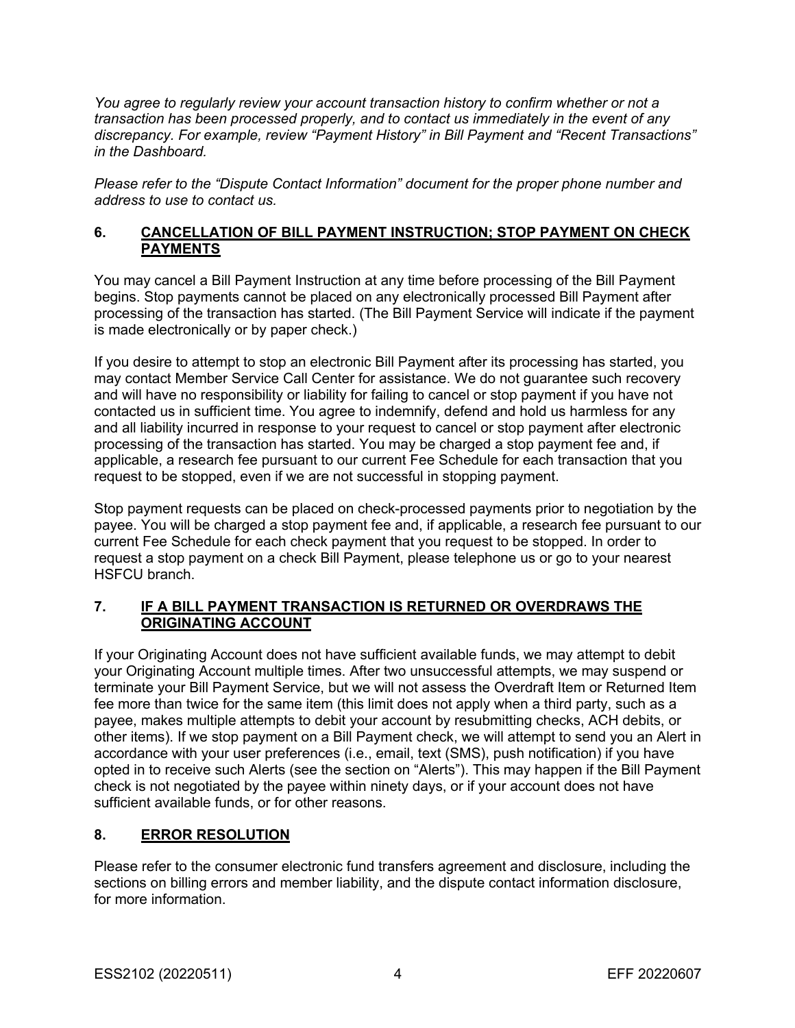*You agree to regularly review your account transaction history to confirm whether or not a transaction has been processed properly, and to contact us immediately in the event of any discrepancy. For example, review "Payment History" in Bill Payment and "Recent Transactions" in the Dashboard.*

*Please refer to the "Dispute Contact Information" document for the proper phone number and address to use to contact us.*

## **6. CANCELLATION OF BILL PAYMENT INSTRUCTION; STOP PAYMENT ON CHECK PAYMENTS**

You may cancel a Bill Payment Instruction at any time before processing of the Bill Payment begins. Stop payments cannot be placed on any electronically processed Bill Payment after processing of the transaction has started. (The Bill Payment Service will indicate if the payment is made electronically or by paper check.)

If you desire to attempt to stop an electronic Bill Payment after its processing has started, you may contact Member Service Call Center for assistance. We do not guarantee such recovery and will have no responsibility or liability for failing to cancel or stop payment if you have not contacted us in sufficient time. You agree to indemnify, defend and hold us harmless for any and all liability incurred in response to your request to cancel or stop payment after electronic processing of the transaction has started. You may be charged a stop payment fee and, if applicable, a research fee pursuant to our current Fee Schedule for each transaction that you request to be stopped, even if we are not successful in stopping payment.

Stop payment requests can be placed on check-processed payments prior to negotiation by the payee. You will be charged a stop payment fee and, if applicable, a research fee pursuant to our current Fee Schedule for each check payment that you request to be stopped. In order to request a stop payment on a check Bill Payment, please telephone us or go to your nearest HSFCU branch.

## **7. IF A BILL PAYMENT TRANSACTION IS RETURNED OR OVERDRAWS THE ORIGINATING ACCOUNT**

If your Originating Account does not have sufficient available funds, we may attempt to debit your Originating Account multiple times. After two unsuccessful attempts, we may suspend or terminate your Bill Payment Service, but we will not assess the Overdraft Item or Returned Item fee more than twice for the same item (this limit does not apply when a third party, such as a payee, makes multiple attempts to debit your account by resubmitting checks, ACH debits, or other items). If we stop payment on a Bill Payment check, we will attempt to send you an Alert in accordance with your user preferences (i.e., email, text (SMS), push notification) if you have opted in to receive such Alerts (see the section on "Alerts"). This may happen if the Bill Payment check is not negotiated by the payee within ninety days, or if your account does not have sufficient available funds, or for other reasons.

# **8. ERROR RESOLUTION**

Please refer to the consumer electronic fund transfers agreement and disclosure, including the sections on billing errors and member liability, and the dispute contact information disclosure, for more information.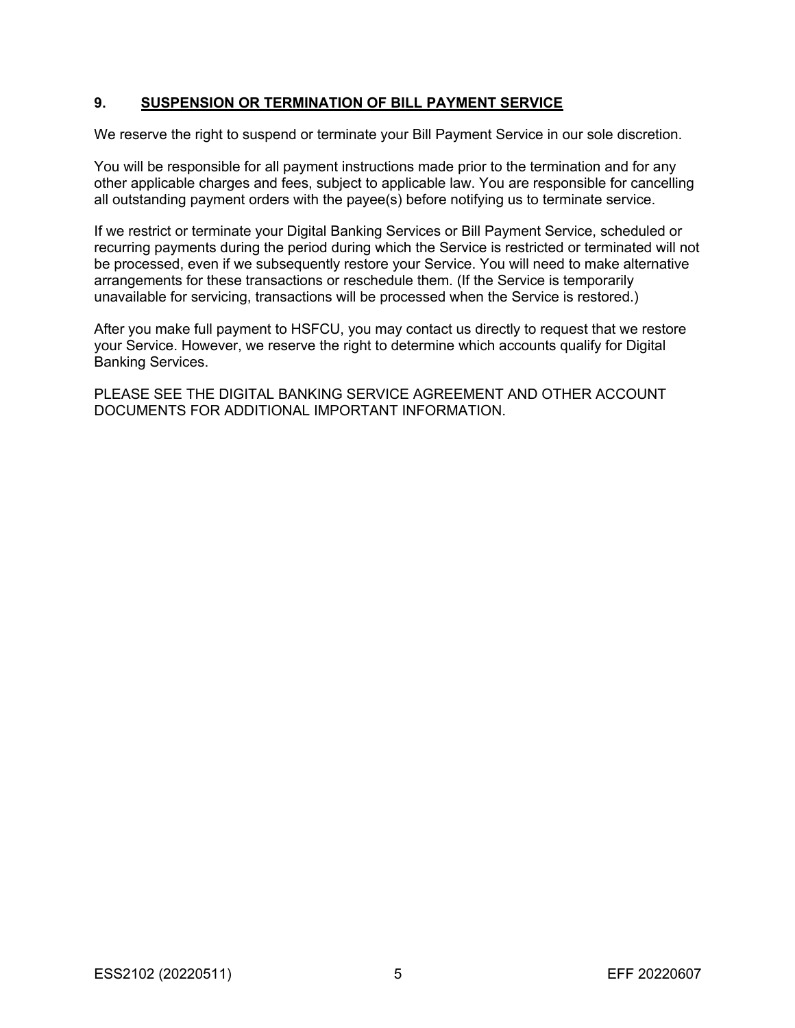## **9. SUSPENSION OR TERMINATION OF BILL PAYMENT SERVICE**

We reserve the right to suspend or terminate your Bill Payment Service in our sole discretion.

You will be responsible for all payment instructions made prior to the termination and for any other applicable charges and fees, subject to applicable law. You are responsible for cancelling all outstanding payment orders with the payee(s) before notifying us to terminate service.

If we restrict or terminate your Digital Banking Services or Bill Payment Service, scheduled or recurring payments during the period during which the Service is restricted or terminated will not be processed, even if we subsequently restore your Service. You will need to make alternative arrangements for these transactions or reschedule them. (If the Service is temporarily unavailable for servicing, transactions will be processed when the Service is restored.)

After you make full payment to HSFCU, you may contact us directly to request that we restore your Service. However, we reserve the right to determine which accounts qualify for Digital Banking Services.

PLEASE SEE THE DIGITAL BANKING SERVICE AGREEMENT AND OTHER ACCOUNT DOCUMENTS FOR ADDITIONAL IMPORTANT INFORMATION.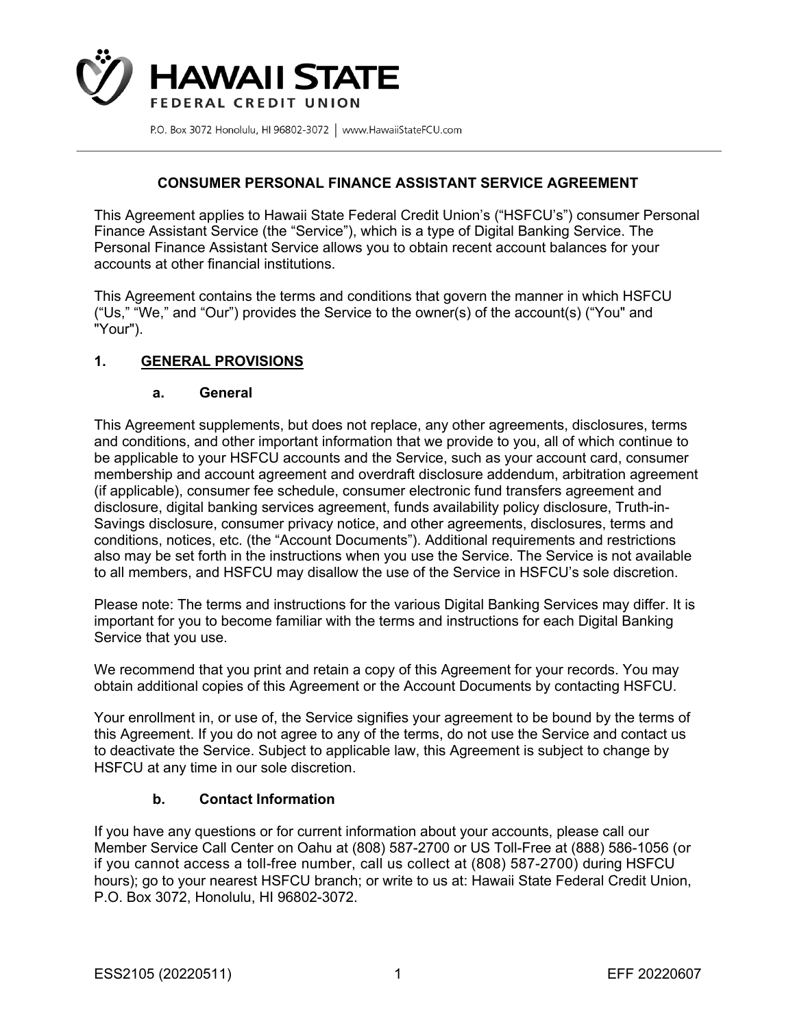

### **CONSUMER PERSONAL FINANCE ASSISTANT SERVICE AGREEMENT**

This Agreement applies to Hawaii State Federal Credit Union's ("HSFCU's") consumer Personal Finance Assistant Service (the "Service"), which is a type of Digital Banking Service. The Personal Finance Assistant Service allows you to obtain recent account balances for your accounts at other financial institutions.

This Agreement contains the terms and conditions that govern the manner in which HSFCU ("Us," "We," and "Our") provides the Service to the owner(s) of the account(s) ("You" and "Your").

## **1. GENERAL PROVISIONS**

#### **a. General**

This Agreement supplements, but does not replace, any other agreements, disclosures, terms and conditions, and other important information that we provide to you, all of which continue to be applicable to your HSFCU accounts and the Service, such as your account card, consumer membership and account agreement and overdraft disclosure addendum, arbitration agreement (if applicable), consumer fee schedule, consumer electronic fund transfers agreement and disclosure, digital banking services agreement, funds availability policy disclosure, Truth-in-Savings disclosure, consumer privacy notice, and other agreements, disclosures, terms and conditions, notices, etc. (the "Account Documents"). Additional requirements and restrictions also may be set forth in the instructions when you use the Service. The Service is not available to all members, and HSFCU may disallow the use of the Service in HSFCU's sole discretion.

Please note: The terms and instructions for the various Digital Banking Services may differ. It is important for you to become familiar with the terms and instructions for each Digital Banking Service that you use.

We recommend that you print and retain a copy of this Agreement for your records. You may obtain additional copies of this Agreement or the Account Documents by contacting HSFCU.

Your enrollment in, or use of, the Service signifies your agreement to be bound by the terms of this Agreement. If you do not agree to any of the terms, do not use the Service and contact us to deactivate the Service. Subject to applicable law, this Agreement is subject to change by HSFCU at any time in our sole discretion.

#### **b. Contact Information**

If you have any questions or for current information about your accounts, please call our Member Service Call Center on Oahu at (808) 587-2700 or US Toll-Free at (888) 586-1056 (or if you cannot access a toll-free number, call us collect at (808) 587-2700) during HSFCU hours); go to your nearest HSFCU branch; or write to us at: Hawaii State Federal Credit Union, P.O. Box 3072, Honolulu, HI 96802-3072.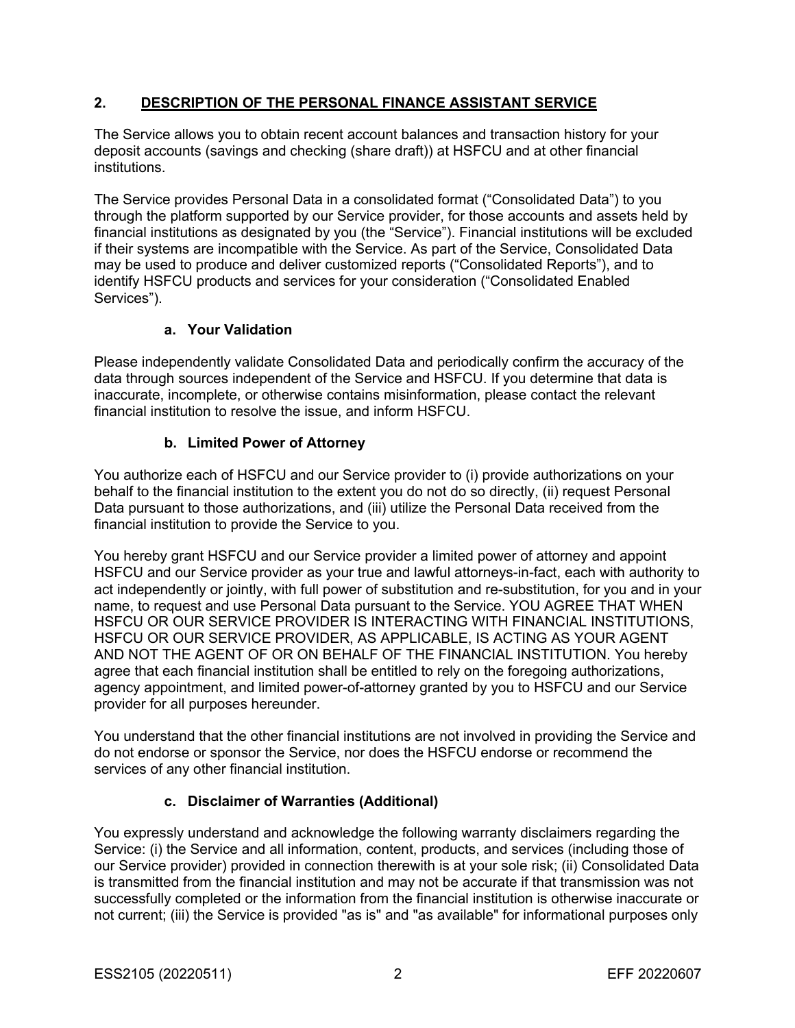# **2. DESCRIPTION OF THE PERSONAL FINANCE ASSISTANT SERVICE**

The Service allows you to obtain recent account balances and transaction history for your deposit accounts (savings and checking (share draft)) at HSFCU and at other financial institutions.

The Service provides Personal Data in a consolidated format ("Consolidated Data") to you through the platform supported by our Service provider, for those accounts and assets held by financial institutions as designated by you (the "Service"). Financial institutions will be excluded if their systems are incompatible with the Service. As part of the Service, Consolidated Data may be used to produce and deliver customized reports ("Consolidated Reports"), and to identify HSFCU products and services for your consideration ("Consolidated Enabled Services").

# **a. Your Validation**

Please independently validate Consolidated Data and periodically confirm the accuracy of the data through sources independent of the Service and HSFCU. If you determine that data is inaccurate, incomplete, or otherwise contains misinformation, please contact the relevant financial institution to resolve the issue, and inform HSFCU.

# **b. Limited Power of Attorney**

You authorize each of HSFCU and our Service provider to (i) provide authorizations on your behalf to the financial institution to the extent you do not do so directly, (ii) request Personal Data pursuant to those authorizations, and (iii) utilize the Personal Data received from the financial institution to provide the Service to you.

You hereby grant HSFCU and our Service provider a limited power of attorney and appoint HSFCU and our Service provider as your true and lawful attorneys-in-fact, each with authority to act independently or jointly, with full power of substitution and re-substitution, for you and in your name, to request and use Personal Data pursuant to the Service. YOU AGREE THAT WHEN HSFCU OR OUR SERVICE PROVIDER IS INTERACTING WITH FINANCIAL INSTITUTIONS, HSFCU OR OUR SERVICE PROVIDER, AS APPLICABLE, IS ACTING AS YOUR AGENT AND NOT THE AGENT OF OR ON BEHALF OF THE FINANCIAL INSTITUTION. You hereby agree that each financial institution shall be entitled to rely on the foregoing authorizations, agency appointment, and limited power-of-attorney granted by you to HSFCU and our Service provider for all purposes hereunder.

You understand that the other financial institutions are not involved in providing the Service and do not endorse or sponsor the Service, nor does the HSFCU endorse or recommend the services of any other financial institution.

# **c. Disclaimer of Warranties (Additional)**

You expressly understand and acknowledge the following warranty disclaimers regarding the Service: (i) the Service and all information, content, products, and services (including those of our Service provider) provided in connection therewith is at your sole risk; (ii) Consolidated Data is transmitted from the financial institution and may not be accurate if that transmission was not successfully completed or the information from the financial institution is otherwise inaccurate or not current; (iii) the Service is provided "as is" and "as available" for informational purposes only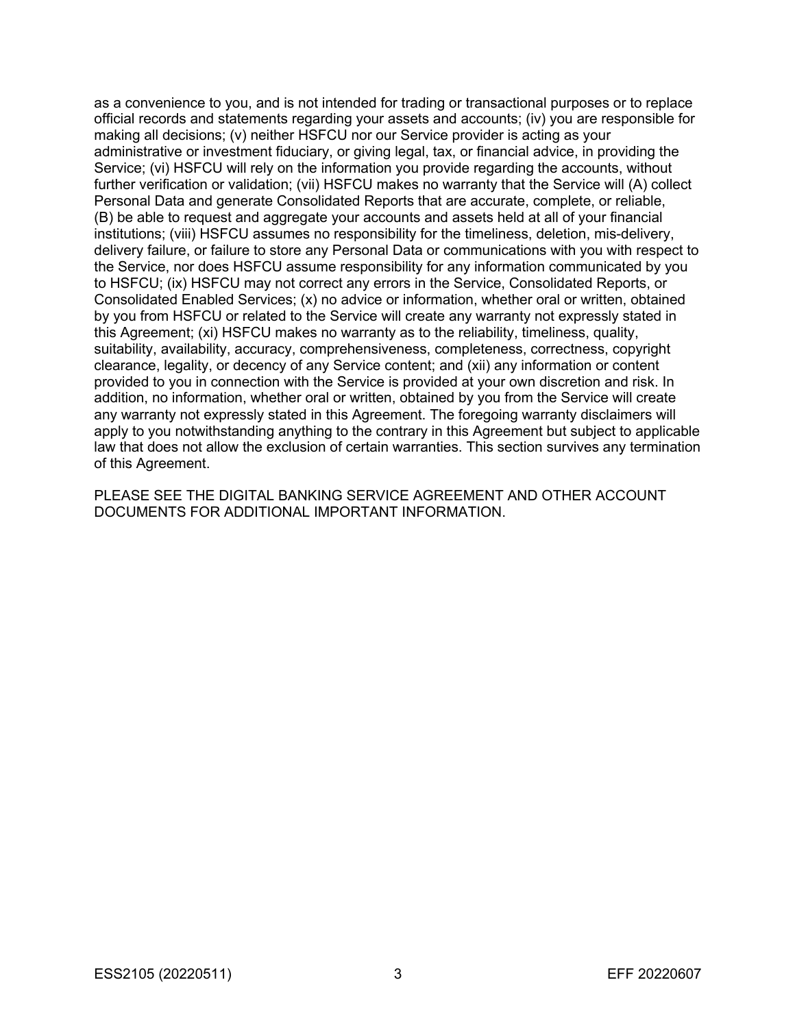as a convenience to you, and is not intended for trading or transactional purposes or to replace official records and statements regarding your assets and accounts; (iv) you are responsible for making all decisions; (v) neither HSFCU nor our Service provider is acting as your administrative or investment fiduciary, or giving legal, tax, or financial advice, in providing the Service; (vi) HSFCU will rely on the information you provide regarding the accounts, without further verification or validation; (vii) HSFCU makes no warranty that the Service will (A) collect Personal Data and generate Consolidated Reports that are accurate, complete, or reliable, (B) be able to request and aggregate your accounts and assets held at all of your financial institutions; (viii) HSFCU assumes no responsibility for the timeliness, deletion, mis-delivery, delivery failure, or failure to store any Personal Data or communications with you with respect to the Service, nor does HSFCU assume responsibility for any information communicated by you to HSFCU; (ix) HSFCU may not correct any errors in the Service, Consolidated Reports, or Consolidated Enabled Services; (x) no advice or information, whether oral or written, obtained by you from HSFCU or related to the Service will create any warranty not expressly stated in this Agreement; (xi) HSFCU makes no warranty as to the reliability, timeliness, quality, suitability, availability, accuracy, comprehensiveness, completeness, correctness, copyright clearance, legality, or decency of any Service content; and (xii) any information or content provided to you in connection with the Service is provided at your own discretion and risk. In addition, no information, whether oral or written, obtained by you from the Service will create any warranty not expressly stated in this Agreement. The foregoing warranty disclaimers will apply to you notwithstanding anything to the contrary in this Agreement but subject to applicable law that does not allow the exclusion of certain warranties. This section survives any termination of this Agreement.

PLEASE SEE THE DIGITAL BANKING SERVICE AGREEMENT AND OTHER ACCOUNT DOCUMENTS FOR ADDITIONAL IMPORTANT INFORMATION.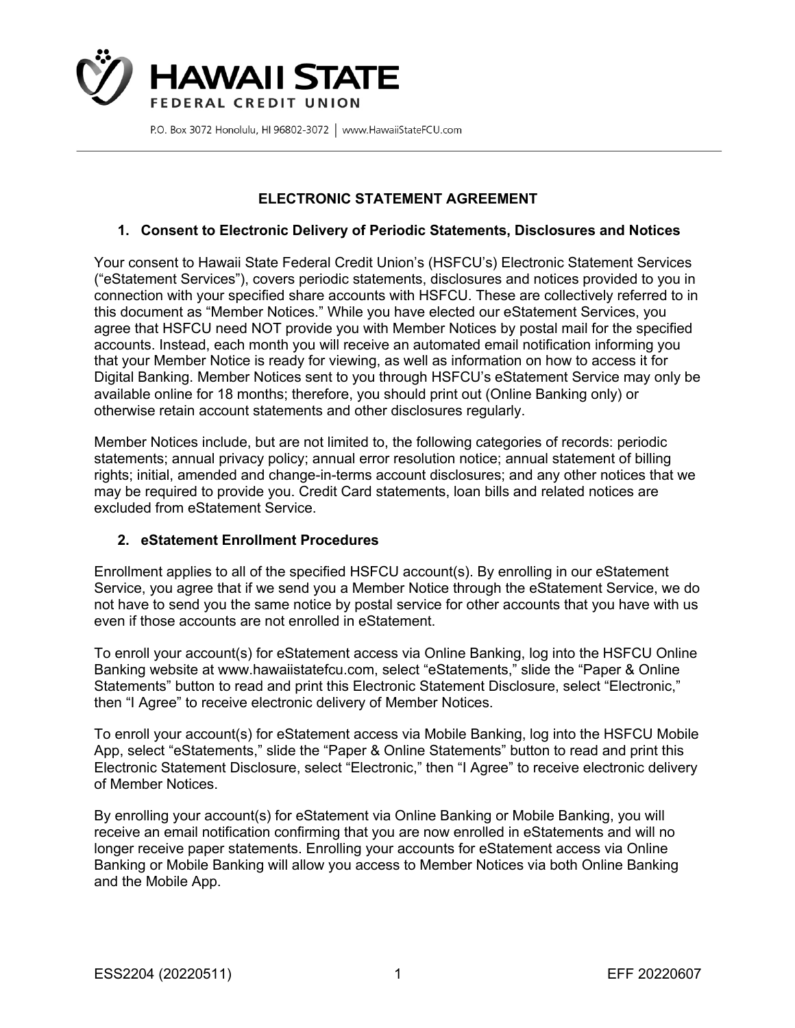

# **ELECTRONIC STATEMENT AGREEMENT**

## **1. Consent to Electronic Delivery of Periodic Statements, Disclosures and Notices**

Your consent to Hawaii State Federal Credit Union's (HSFCU's) Electronic Statement Services ("eStatement Services"), covers periodic statements, disclosures and notices provided to you in connection with your specified share accounts with HSFCU. These are collectively referred to in this document as "Member Notices." While you have elected our eStatement Services, you agree that HSFCU need NOT provide you with Member Notices by postal mail for the specified accounts. Instead, each month you will receive an automated email notification informing you that your Member Notice is ready for viewing, as well as information on how to access it for Digital Banking. Member Notices sent to you through HSFCU's eStatement Service may only be available online for 18 months; therefore, you should print out (Online Banking only) or otherwise retain account statements and other disclosures regularly.

Member Notices include, but are not limited to, the following categories of records: periodic statements; annual privacy policy; annual error resolution notice; annual statement of billing rights; initial, amended and change-in-terms account disclosures; and any other notices that we may be required to provide you. Credit Card statements, loan bills and related notices are excluded from eStatement Service.

## **2. eStatement Enrollment Procedures**

Enrollment applies to all of the specified HSFCU account(s). By enrolling in our eStatement Service, you agree that if we send you a Member Notice through the eStatement Service, we do not have to send you the same notice by postal service for other accounts that you have with us even if those accounts are not enrolled in eStatement.

To enroll your account(s) for eStatement access via Online Banking, log into the HSFCU Online Banking website at www.hawaiistatefcu.com, select "eStatements," slide the "Paper & Online Statements" button to read and print this Electronic Statement Disclosure, select "Electronic," then "I Agree" to receive electronic delivery of Member Notices.

To enroll your account(s) for eStatement access via Mobile Banking, log into the HSFCU Mobile App, select "eStatements," slide the "Paper & Online Statements" button to read and print this Electronic Statement Disclosure, select "Electronic," then "I Agree" to receive electronic delivery of Member Notices.

By enrolling your account(s) for eStatement via Online Banking or Mobile Banking, you will receive an email notification confirming that you are now enrolled in eStatements and will no longer receive paper statements. Enrolling your accounts for eStatement access via Online Banking or Mobile Banking will allow you access to Member Notices via both Online Banking and the Mobile App.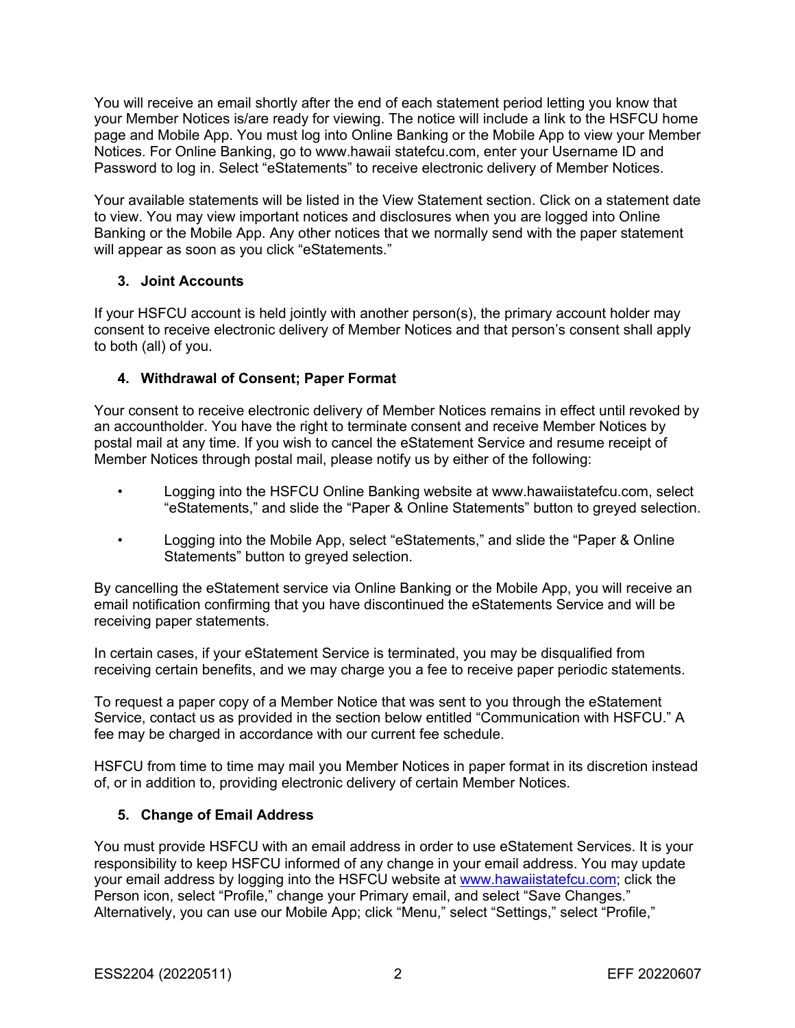You will receive an email shortly after the end of each statement period letting you know that your Member Notices is/are ready for viewing. The notice will include a link to the HSFCU home page and Mobile App. You must log into Online Banking or the Mobile App to view your Member Notices. For Online Banking, go to www.hawaii statefcu.com, enter your Username ID and Password to log in. Select "eStatements" to receive electronic delivery of Member Notices.

Your available statements will be listed in the View Statement section. Click on a statement date to view. You may view important notices and disclosures when you are logged into Online Banking or the Mobile App. Any other notices that we normally send with the paper statement will appear as soon as you click "eStatements."

# **3. Joint Accounts**

If your HSFCU account is held jointly with another person(s), the primary account holder may consent to receive electronic delivery of Member Notices and that person's consent shall apply to both (all) of you.

# **4. Withdrawal of Consent; Paper Format**

Your consent to receive electronic delivery of Member Notices remains in effect until revoked by an accountholder. You have the right to terminate consent and receive Member Notices by postal mail at any time. If you wish to cancel the eStatement Service and resume receipt of Member Notices through postal mail, please notify us by either of the following:

- Logging into the HSFCU Online Banking website at www.hawaiistatefcu.com, select "eStatements," and slide the "Paper & Online Statements" button to greyed selection.
- Logging into the Mobile App, select "eStatements," and slide the "Paper & Online Statements" button to greyed selection.

By cancelling the eStatement service via Online Banking or the Mobile App, you will receive an email notification confirming that you have discontinued the eStatements Service and will be receiving paper statements.

In certain cases, if your eStatement Service is terminated, you may be disqualified from receiving certain benefits, and we may charge you a fee to receive paper periodic statements.

To request a paper copy of a Member Notice that was sent to you through the eStatement Service, contact us as provided in the section below entitled "Communication with HSFCU." A fee may be charged in accordance with our current fee schedule.

HSFCU from time to time may mail you Member Notices in paper format in its discretion instead of, or in addition to, providing electronic delivery of certain Member Notices.

# **5. Change of Email Address**

You must provide HSFCU with an email address in order to use eStatement Services. It is your responsibility to keep HSFCU informed of any change in your email address. You may update your email address by logging into the HSFCU website at www.hawaiistatefcu.com; click the Person icon, select "Profile," change your Primary email, and select "Save Changes." Alternatively, you can use our Mobile App; click "Menu," select "Settings," select "Profile,"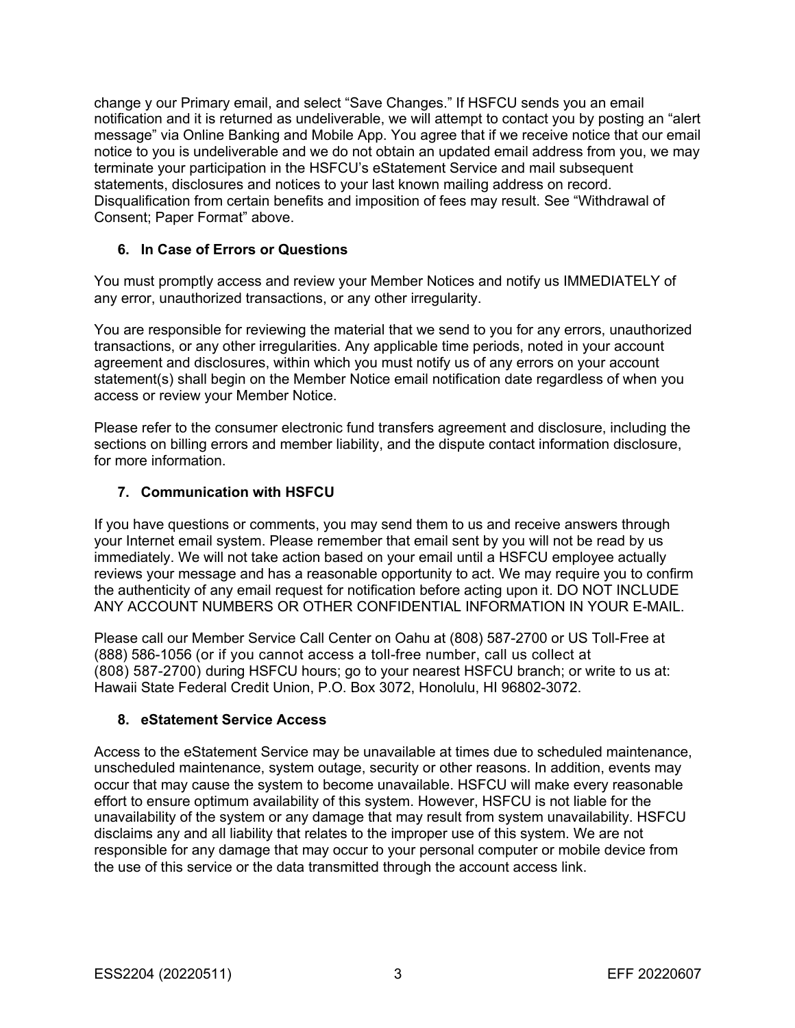change y our Primary email, and select "Save Changes." If HSFCU sends you an email notification and it is returned as undeliverable, we will attempt to contact you by posting an "alert message" via Online Banking and Mobile App. You agree that if we receive notice that our email notice to you is undeliverable and we do not obtain an updated email address from you, we may terminate your participation in the HSFCU's eStatement Service and mail subsequent statements, disclosures and notices to your last known mailing address on record. Disqualification from certain benefits and imposition of fees may result. See "Withdrawal of Consent; Paper Format" above.

## **6. In Case of Errors or Questions**

You must promptly access and review your Member Notices and notify us IMMEDIATELY of any error, unauthorized transactions, or any other irregularity.

You are responsible for reviewing the material that we send to you for any errors, unauthorized transactions, or any other irregularities. Any applicable time periods, noted in your account agreement and disclosures, within which you must notify us of any errors on your account statement(s) shall begin on the Member Notice email notification date regardless of when you access or review your Member Notice.

Please refer to the consumer electronic fund transfers agreement and disclosure, including the sections on billing errors and member liability, and the dispute contact information disclosure, for more information.

## **7. Communication with HSFCU**

If you have questions or comments, you may send them to us and receive answers through your Internet email system. Please remember that email sent by you will not be read by us immediately. We will not take action based on your email until a HSFCU employee actually reviews your message and has a reasonable opportunity to act. We may require you to confirm the authenticity of any email request for notification before acting upon it. DO NOT INCLUDE ANY ACCOUNT NUMBERS OR OTHER CONFIDENTIAL INFORMATION IN YOUR E-MAIL.

Please call our Member Service Call Center on Oahu at (808) 587-2700 or US Toll-Free at (888) 586-1056 (or if you cannot access a toll-free number, call us collect at (808) 587-2700) during HSFCU hours; go to your nearest HSFCU branch; or write to us at: Hawaii State Federal Credit Union, P.O. Box 3072, Honolulu, HI 96802-3072.

## **8. eStatement Service Access**

Access to the eStatement Service may be unavailable at times due to scheduled maintenance, unscheduled maintenance, system outage, security or other reasons. In addition, events may occur that may cause the system to become unavailable. HSFCU will make every reasonable effort to ensure optimum availability of this system. However, HSFCU is not liable for the unavailability of the system or any damage that may result from system unavailability. HSFCU disclaims any and all liability that relates to the improper use of this system. We are not responsible for any damage that may occur to your personal computer or mobile device from the use of this service or the data transmitted through the account access link.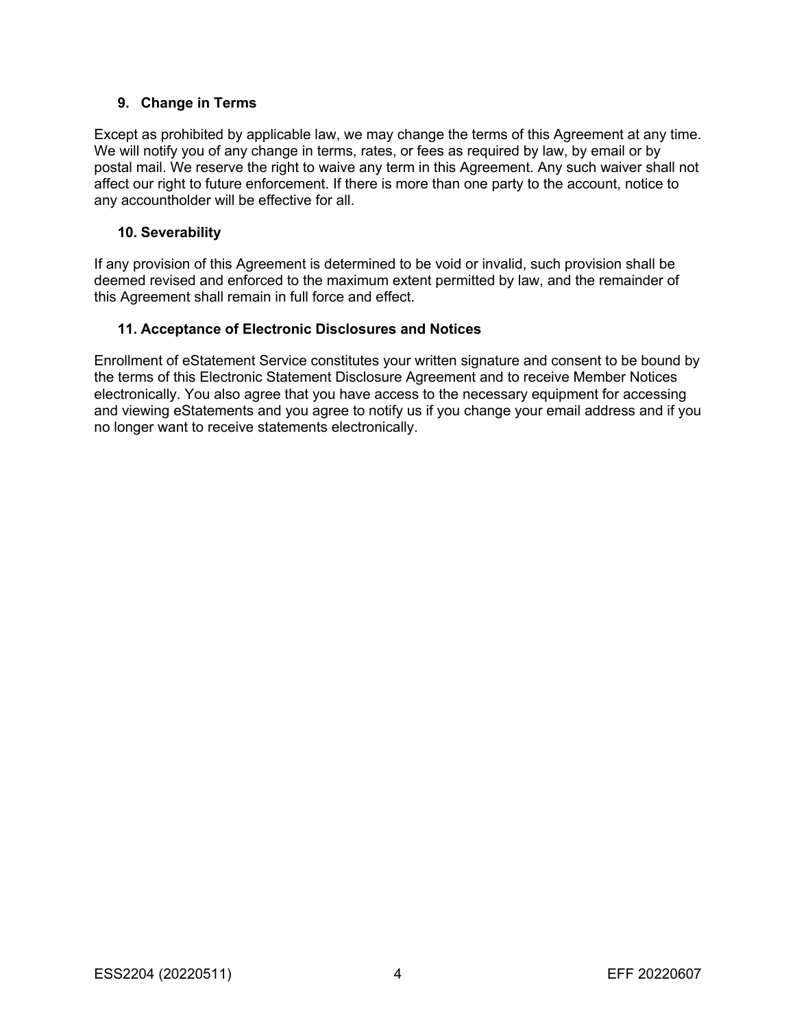## **9. Change in Terms**

Except as prohibited by applicable law, we may change the terms of this Agreement at any time. We will notify you of any change in terms, rates, or fees as required by law, by email or by postal mail. We reserve the right to waive any term in this Agreement. Any such waiver shall not affect our right to future enforcement. If there is more than one party to the account, notice to any accountholder will be effective for all.

## **10. Severability**

If any provision of this Agreement is determined to be void or invalid, such provision shall be deemed revised and enforced to the maximum extent permitted by law, and the remainder of this Agreement shall remain in full force and effect.

## **11. Acceptance of Electronic Disclosures and Notices**

Enrollment of eStatement Service constitutes your written signature and consent to be bound by the terms of this Electronic Statement Disclosure Agreement and to receive Member Notices electronically. You also agree that you have access to the necessary equipment for accessing and viewing eStatements and you agree to notify us if you change your email address and if you no longer want to receive statements electronically.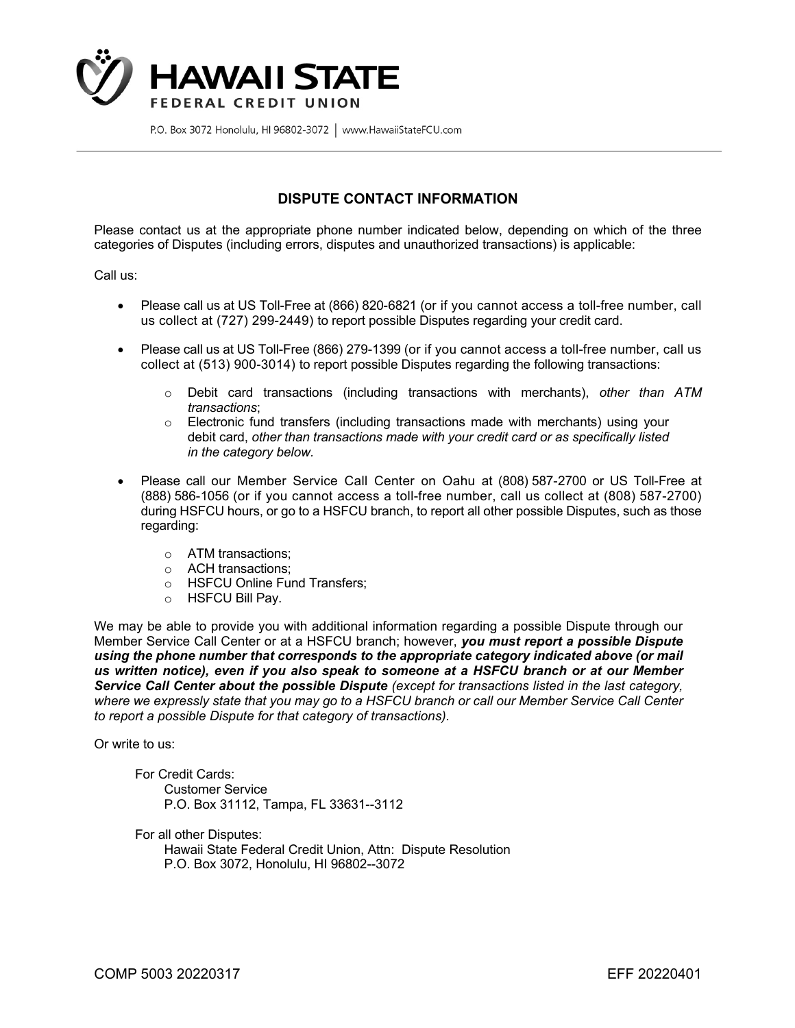

## **DISPUTE CONTACT INFORMATION**

Please contact us at the appropriate phone number indicated below, depending on which of the three categories of Disputes (including errors, disputes and unauthorized transactions) is applicable:

Call us:

- Please call us at US Toll-Free at (866) 820-6821 (or if you cannot access a toll-free number, call us collect at (727) 299-2449) to report possible Disputes regarding your credit card.
- Please call us at US Toll-Free (866) 279-1399 (or if you cannot access a toll-free number, call us collect at (513) 900-3014) to report possible Disputes regarding the following transactions:
	- o Debit card transactions (including transactions with merchants), *other than ATM transactions*;
	- o Electronic fund transfers (including transactions made with merchants) using your debit card, *other than transactions made with your credit card or as specifically listed in the category below.*
- Please call our Member Service Call Center on Oahu at (808) 587-2700 or US Toll-Free at (888) 586-1056 (or if you cannot access a toll-free number, call us collect at (808) 587-2700) during HSFCU hours, or go to a HSFCU branch, to report all other possible Disputes, such as those regarding:
	- o ATM transactions;
	- o ACH transactions;
	- o HSFCU Online Fund Transfers;
	- o HSFCU Bill Pay.

We may be able to provide you with additional information regarding a possible Dispute through our Member Service Call Center or at a HSFCU branch; however, *you must report a possible Dispute using the phone number that corresponds to the appropriate category indicated above (or mail us written notice), even if you also speak to someone at a HSFCU branch or at our Member Service Call Center about the possible Dispute (except for transactions listed in the last category, where we expressly state that you may go to a HSFCU branch or call our Member Service Call Center to report a possible Dispute for that category of transactions).*

Or write to us:

For Credit Cards: Customer Service P.O. Box 31112, Tampa, FL 33631--3112

For all other Disputes: Hawaii State Federal Credit Union, Attn: Dispute Resolution P.O. Box 3072, Honolulu, HI 96802--3072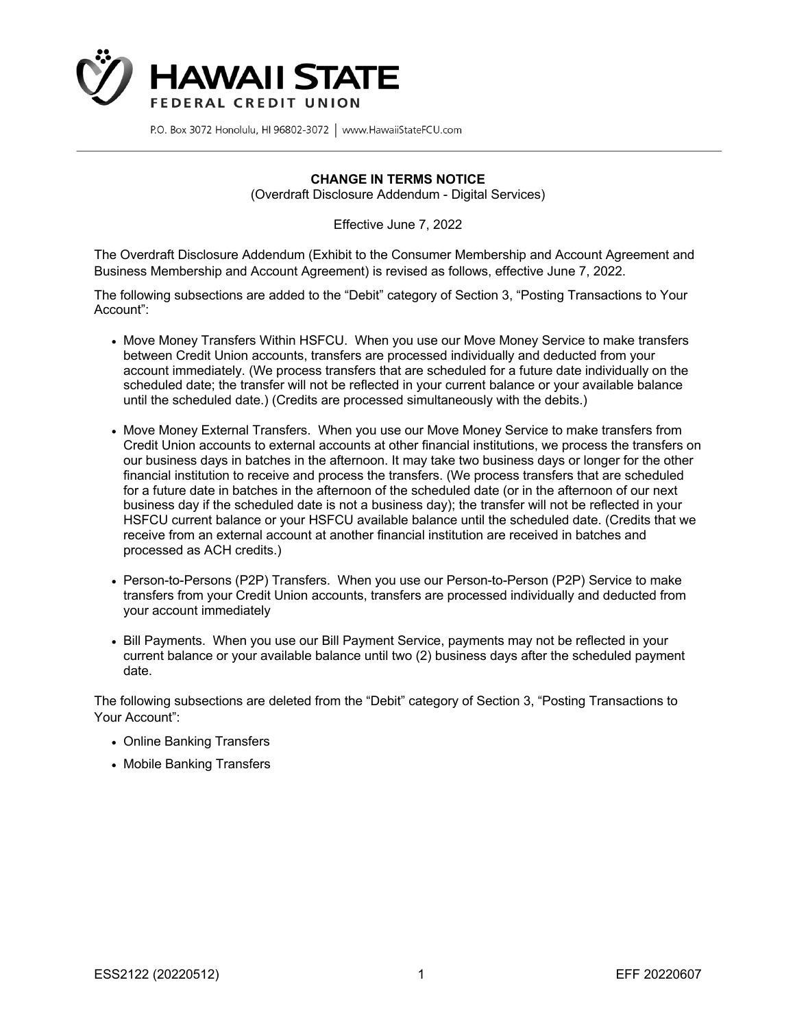

### **CHANGE IN TERMS NOTICE**

(Overdraft Disclosure Addendum - Digital Services)

Effective June 7, 2022

The Overdraft Disclosure Addendum (Exhibit to the Consumer Membership and Account Agreement and Business Membership and Account Agreement) is revised as follows, effective June 7, 2022.

The following subsections are added to the "Debit" category of Section 3, "Posting Transactions to Your Account":

- Move Money Transfers Within HSFCU. When you use our Move Money Service to make transfers between Credit Union accounts, transfers are processed individually and deducted from your account immediately. (We process transfers that are scheduled for a future date individually on the scheduled date; the transfer will not be reflected in your current balance or your available balance until the scheduled date.) (Credits are processed simultaneously with the debits.)
- Move Money External Transfers. When you use our Move Money Service to make transfers from Credit Union accounts to external accounts at other financial institutions, we process the transfers on our business days in batches in the afternoon. It may take two business days or longer for the other financial institution to receive and process the transfers. (We process transfers that are scheduled for a future date in batches in the afternoon of the scheduled date (or in the afternoon of our next business day if the scheduled date is not a business day); the transfer will not be reflected in your HSFCU current balance or your HSFCU available balance until the scheduled date. (Credits that we receive from an external account at another financial institution are received in batches and processed as ACH credits.)
- Person-to-Persons (P2P) Transfers. When you use our Person-to-Person (P2P) Service to make transfers from your Credit Union accounts, transfers are processed individually and deducted from your account immediately
- Bill Payments. When you use our Bill Payment Service, payments may not be reflected in your current balance or your available balance until two (2) business days after the scheduled payment date.

The following subsections are deleted from the "Debit" category of Section 3, "Posting Transactions to Your Account":

- Online Banking Transfers
- Mobile Banking Transfers